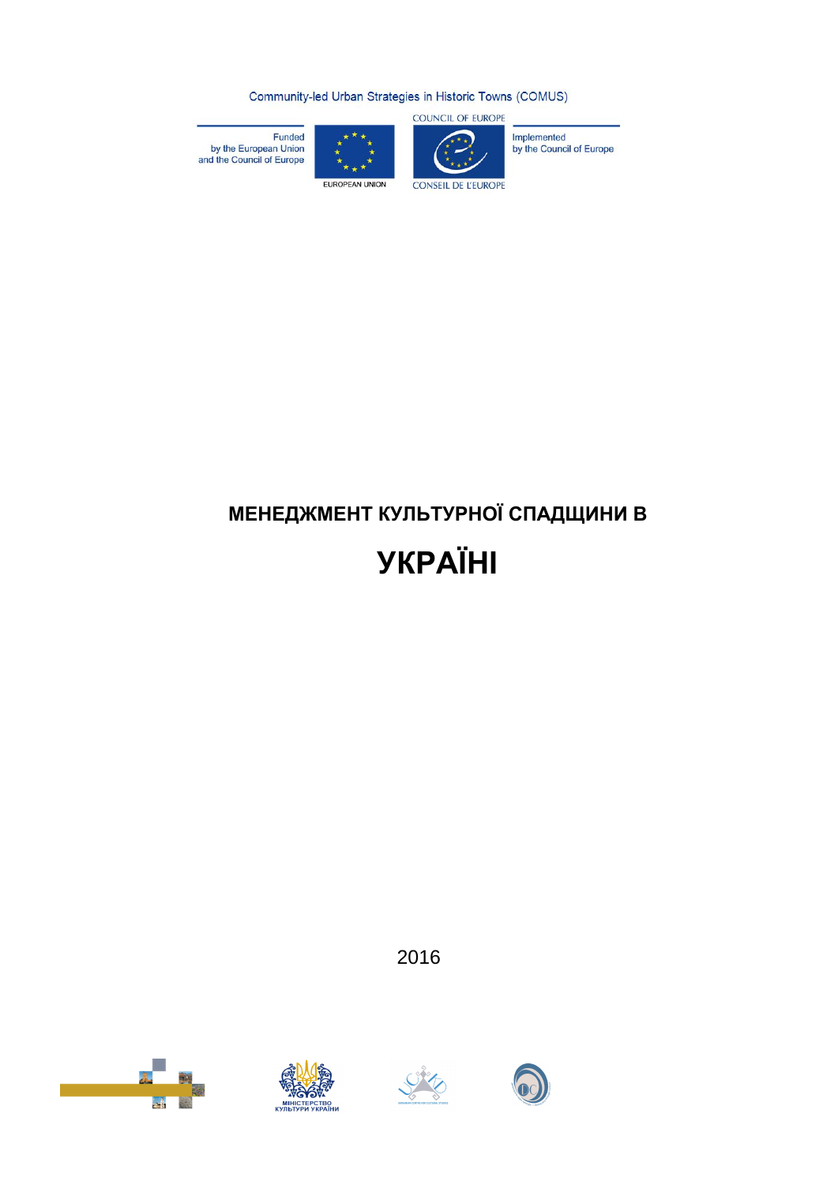Community-led Urban Strategies in Historic Towns (COMUS)

COUNCIL OF EUROPE



Implemented<br>by the Council of Europe



Funded<br>by the European Union<br>and the Council of Europe

# **МЕНЕДЖМЕНТ КУЛЬТУРНОЇ СПАДЩИНИ В**

**УКРАЇНІ**

2016







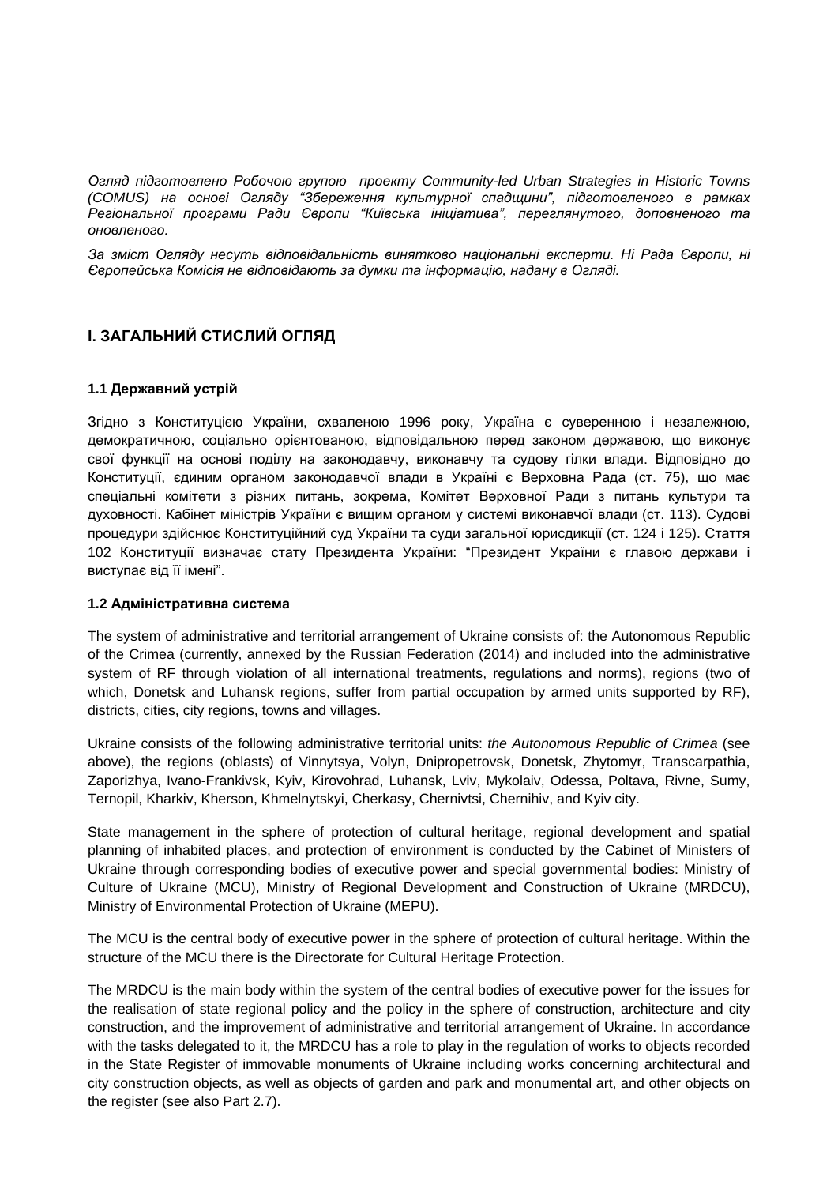*Огляд підготовлено Робочою групою проекту Community-led Urban Strategies in Historic Towns (COMUS) на основі Огляду "Збереження культурної спадщини", підготовленого в рамках Регіональної програми Ради Європи "Київська ініціатива", переглянутого, доповненого та оновленого.*

*За зміст Огляду несуть відповідальність винятково національні експерти. Ні Рада Європи, ні Європейська Комісія не відповідають за думки та інформацію, надану в Огляді.*

# **І. ЗАГАЛЬНИЙ СТИСЛИЙ ОГЛЯД**

#### **1.1 Державний устрій**

Згідно з Конституцією України, схваленою 1996 року, Україна є суверенною і незалежною, демократичною, соціально орієнтованою, відповідальною перед законом державою, що виконує свої функції на основі поділу на законодавчу, виконавчу та судову гілки влади. Відповідно до Конституції, єдиним органом законодавчої влади в Україні є Верховна Рада (ст. 75), що має спеціальні комітети з різних питань, зокрема, Комітет Верховної Ради з питань культури та духовності. Кабінет міністрів України є вищим органом у системі виконавчої влади (ст. 113). Судові процедури здійснює Конституційний суд України та суди загальної юрисдикції (ст. 124 і 125). Стаття 102 Конституції визначає стату Президента України: "Президент України є главою держави і виступає від її імені".

# **1.2 Адміністративна система**

The system of administrative and territorial arrangement of Ukraine consists of: the Autonomous Republic of the Crimea (currently, annexed by the Russian Federation (2014) and included into the administrative system of RF through violation of all international treatments, regulations and norms), regions (two of which, Donetsk and Luhansk regions, suffer from partial occupation by armed units supported by RF), districts, cities, city regions, towns and villages.

Ukraine consists of the following administrative territorial units: *the Autonomous Republic of Crimea* (see above), the regions (oblasts) of Vinnytsya, Volyn, Dnipropetrovsk, Donetsk, Zhytomyr, Transcarpathia, Zaporizhya, Ivano-Frankivsk, Kyiv, Kirovohrad, Luhansk, Lviv, Mykolaiv, Odessa, Poltava, Rivne, Sumy, Ternopil, Kharkiv, Kherson, Khmelnytskyi, Cherkasy, Chernivtsi, Chernihiv, and Kyiv city.

State management in the sphere of protection of cultural heritage, regional development and spatial planning of inhabited places, and protection of environment is conducted by the Cabinet of Ministers of Ukraine through corresponding bodies of executive power and special governmental bodies: Ministry of Culture of Ukraine (MCU), Ministry of Regional Development and Construction of Ukraine (MRDCU), Ministry of Environmental Protection of Ukraine (MEPU).

The MCU is the central body of executive power in the sphere of protection of cultural heritage. Within the structure of the MCU there is the Directorate for Cultural Heritage Protection.

The MRDCU is the main body within the system of the central bodies of executive power for the issues for the realisation of state regional policy and the policy in the sphere of construction, architecture and city construction, and the improvement of administrative and territorial arrangement of Ukraine. In accordance with the tasks delegated to it, the MRDCU has a role to play in the regulation of works to objects recorded in the State Register of immovable monuments of Ukraine including works concerning architectural and city construction objects, as well as objects of garden and park and monumental art, and other objects on the register (see also Part 2.7).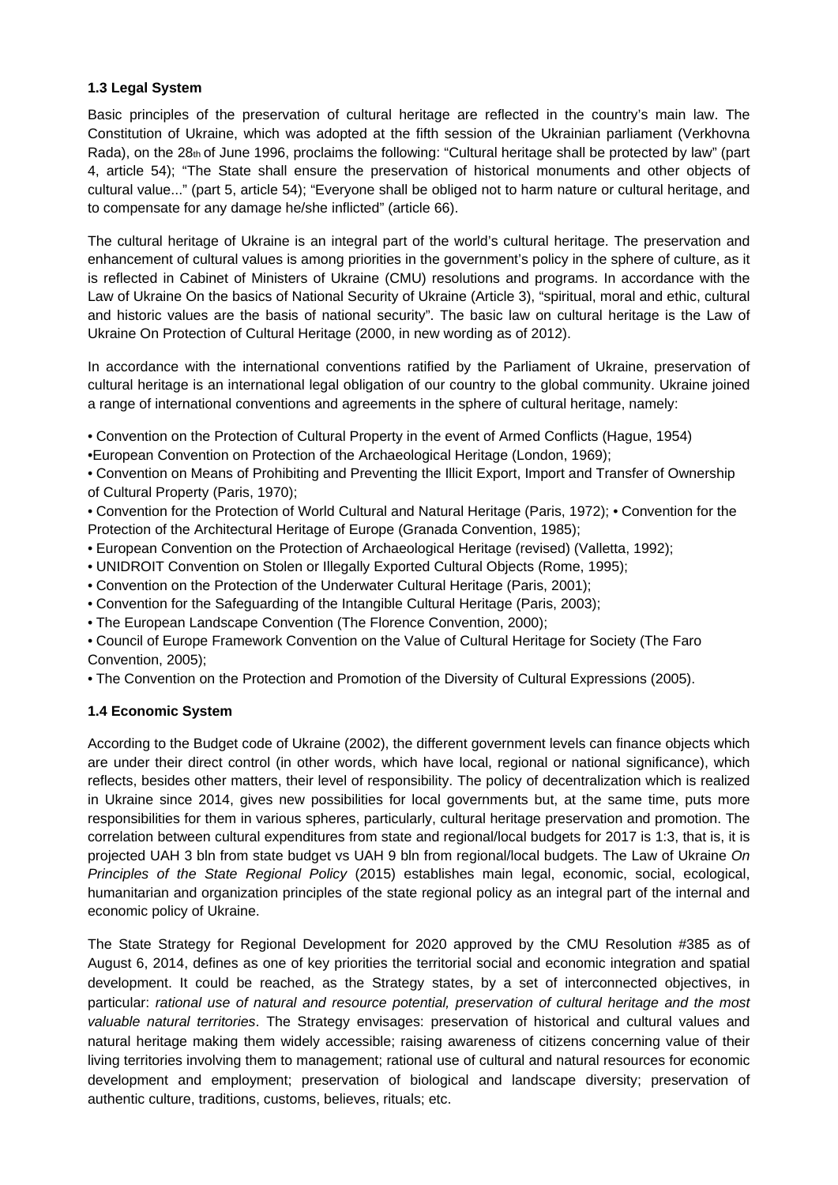# **1.3 Legal System**

Basic principles of the preservation of cultural heritage are reflected in the country's main law. The Constitution of Ukraine, which was adopted at the fifth session of the Ukrainian parliament (Verkhovna Rada), on the 28th of June 1996, proclaims the following: "Cultural heritage shall be protected by law" (part 4, article 54); "The State shall ensure the preservation of historical monuments and other objects of cultural value..." (part 5, article 54); "Everyone shall be obliged not to harm nature or cultural heritage, and to compensate for any damage he/she inflicted" (article 66).

The cultural heritage of Ukraine is an integral part of the world's cultural heritage. The preservation and enhancement of cultural values is among priorities in the government's policy in the sphere of culture, as it is reflected in Cabinet of Ministers of Ukraine (CMU) resolutions and programs. In accordance with the Law of Ukraine On the basics of National Security of Ukraine (Article 3), "spiritual, moral and ethic, cultural and historic values are the basis of national security". The basic law on cultural heritage is the Law of Ukraine On Protection of Cultural Heritage (2000, in new wording as of 2012).

In accordance with the international conventions ratified by the Parliament of Ukraine, preservation of cultural heritage is an international legal obligation of our country to the global community. Ukraine joined a range of international conventions and agreements in the sphere of cultural heritage, namely:

- Convention on the Protection of Cultural Property in the event of Armed Conflicts (Hague, 1954)
- •European Convention on Protection of the Archaeological Heritage (London, 1969);

• Convention on Means of Prohibiting and Preventing the Illicit Export, Import and Transfer of Ownership of Cultural Property (Paris, 1970);

• Convention for the Protection of World Cultural and Natural Heritage (Paris, 1972); • Convention for the Protection of the Architectural Heritage of Europe (Granada Convention, 1985);

- European Convention on the Protection of Archaeological Heritage (revised) (Valletta, 1992);
- UNIDROIT Convention on Stolen or Illegally Exported Cultural Objects (Rome, 1995);
- Convention on the Protection of the Underwater Cultural Heritage (Paris, 2001);
- Convention for the Safeguarding of the Intangible Cultural Heritage (Paris, 2003);
- The European Landscape Convention (The Florence Convention, 2000);
- Council of Europe Framework Convention on the Value of Cultural Heritage for Society (The Faro Convention, 2005);
- The Convention on the Protection and Promotion of the Diversity of Cultural Expressions (2005).

# **1.4 Economic System**

According to the Budget code of Ukraine (2002), the different government levels can finance objects which are under their direct control (in other words, which have local, regional or national significance), which reflects, besides other matters, their level of responsibility. The policy of decentralization which is realized in Ukraine since 2014, gives new possibilities for local governments but, at the same time, puts more responsibilities for them in various spheres, particularly, cultural heritage preservation and promotion. The correlation between cultural expenditures from state and regional/local budgets for 2017 is 1:3, that is, it is projected UAH 3 bln from state budget vs UAH 9 bln from regional/local budgets. The Law of Ukraine *On Principles of the State Regional Policy* (2015) establishes main legal, economic, social, ecological, humanitarian and organization principles of the state regional policy as an integral part of the internal and economic policy of Ukraine.

The State Strategy for Regional Development for 2020 approved by the CMU Resolution #385 as of August 6, 2014, defines as one of key priorities the territorial social and economic integration and spatial development. It could be reached, as the Strategy states, by a set of interconnected objectives, in particular: *rational use of natural and resource potential, preservation of cultural heritage and the most valuable natural territories*. The Strategy envisages: preservation of historical and cultural values and natural heritage making them widely accessible; raising awareness of citizens concerning value of their living territories involving them to management; rational use of cultural and natural resources for economic development and employment; preservation of biological and landscape diversity; preservation of authentic culture, traditions, customs, believes, rituals; etc.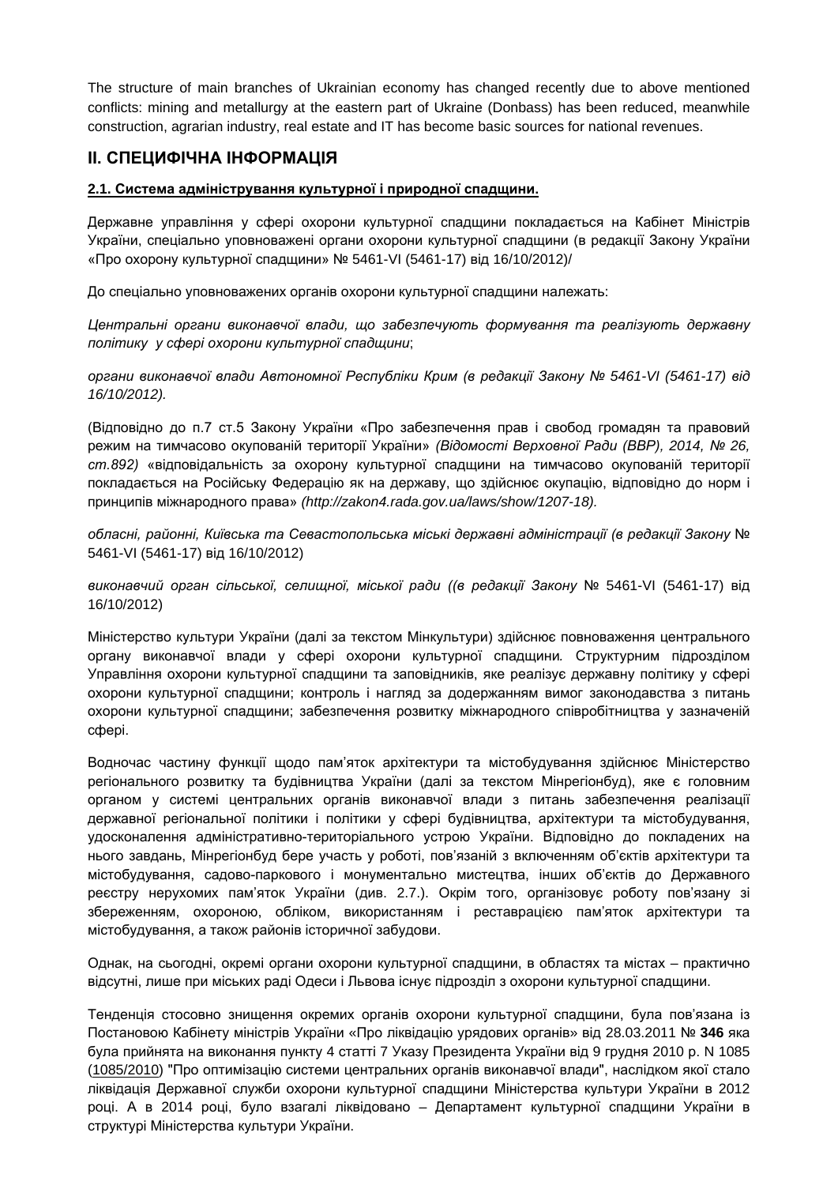The structure of main branches of Ukrainian economy has changed recently due to above mentioned conflicts: mining and metallurgy at the eastern part of Ukraine (Donbass) has been reduced, meanwhile construction, agrarian industry, real estate and IT has become basic sources for national revenues.

# **ІІ. СПЕЦИФІЧНА ІНФОРМАЦІЯ**

#### **2.1. Система адміністрування культурної і природної спадщини.**

Державне управління у сфері охорони культурної спадщини покладається на Кабінет Міністрів України, спеціально уповноважені органи охорони культурної спадщини (в редакції Закону України «Про охорону культурної спадщини» № 5461-VI (5461-17) від 16/10/2012)/

До спеціально уповноважених органів охорони культурної спадщини належать:

*Центральні органи виконавчої влади, що забезпечують формування та реалізують державну політику у сфері охорони культурної спадщини*;

*органи виконавчої влади Автономної Республіки Крим (в редакції Закону № 5461-VI (5461-17) від 16/10/2012).* 

(Відповідно до п.7 ст.5 Закону України «Про забезпечення прав і свобод громадян та правовий режим на тимчасово окупованій території України» *(Відомості Верховної Ради (ВВР), 2014, № 26, ст.892)* «відповідальність за охорону культурної спадщини на тимчасово окупованій території покладається на Російську Федерацію як на державу, що здійснює окупацію, відповідно до норм і принципів міжнародного права» *(http://zakon4.rada.gov.ua/laws/show/1207-18).*

*обласні, районні, Київська та Севастопольська міські державні адміністрації (в редакції Закону* № 5461-VI (5461-17) від 16/10/2012)

*виконавчий орган сільської, селищної, міської ради ((в редакції Закону* № 5461-VI (5461-17) від 16/10/2012)

Міністерство культури України (далі за текстом Мінкультури) здійснює повноваження центрального органу виконавчої влади у сфері охорони культурної спадщини*.* Структурним підрозділом Управління охорони культурної спадщини та заповідників, яке реалізує державну політику у сфері охорони культурної спадщини; контроль і нагляд за додержанням вимог законодавства з питань охорони культурної спадщини; забезпечення розвитку міжнародного співробітництва у зазначеній сфері.

Водночас частину функції щодо пам'яток архітектури та містобудування здійснює Міністерство регіонального розвитку та будівництва України (далі за текстом Мінрегіонбуд), яке є головним органом у системі центральних органів виконавчої влади з питань забезпечення реалізації державної регіональної політики і політики у сфері будівництва, архітектури та містобудування, удосконалення адміністративно-територіального устрою України. Відповідно до покладених на нього завдань, Мінрегіонбуд бере участь у роботі, пов'язаній з включенням об'єктів архітектури та містобудування, садово-паркового і монументально мистецтва, інших об'єктів до Державного реєстру нерухомих пам'яток України (див. 2.7.). Окрім того, організовує роботу пов'язану зі збереженням, охороною, обліком, використанням і реставрацією пам'яток архітектури та містобудування, а також районів історичної забудови.

Однак, на сьогодні, окремі органи охорони культурної спадщини, в областях та містах – практично відсутні, лише при міських раді Одеси і Львова існує підрозділ з охорони культурної спадщини.

Тенденція стосовно знищення окремих органів охорони культурної спадщини, була пов'язана із Постановою Кабінету міністрів України «Про [ліквідацію](http://zakon.rada.gov.ua/go/346-2011-%D0%BF) урядових органів» від 28.03.2011 № **346** яка була прийнята на виконання пункту 4 статті 7 Указу Президента України від 9 грудня 2010 р. N 1085 ([1085/2010\)](http://zakon5.rada.gov.ua/laws/show/1085/2010) "Про оптимізацію системи центральних органів виконавчої влади", наслідком якої стало ліквідація Державної служби охорони культурної спадщини Міністерства культури України в 2012 році. А в 2014 році, було взагалі ліквідовано – Департамент культурної спадщини України в структурі Міністерства культури України.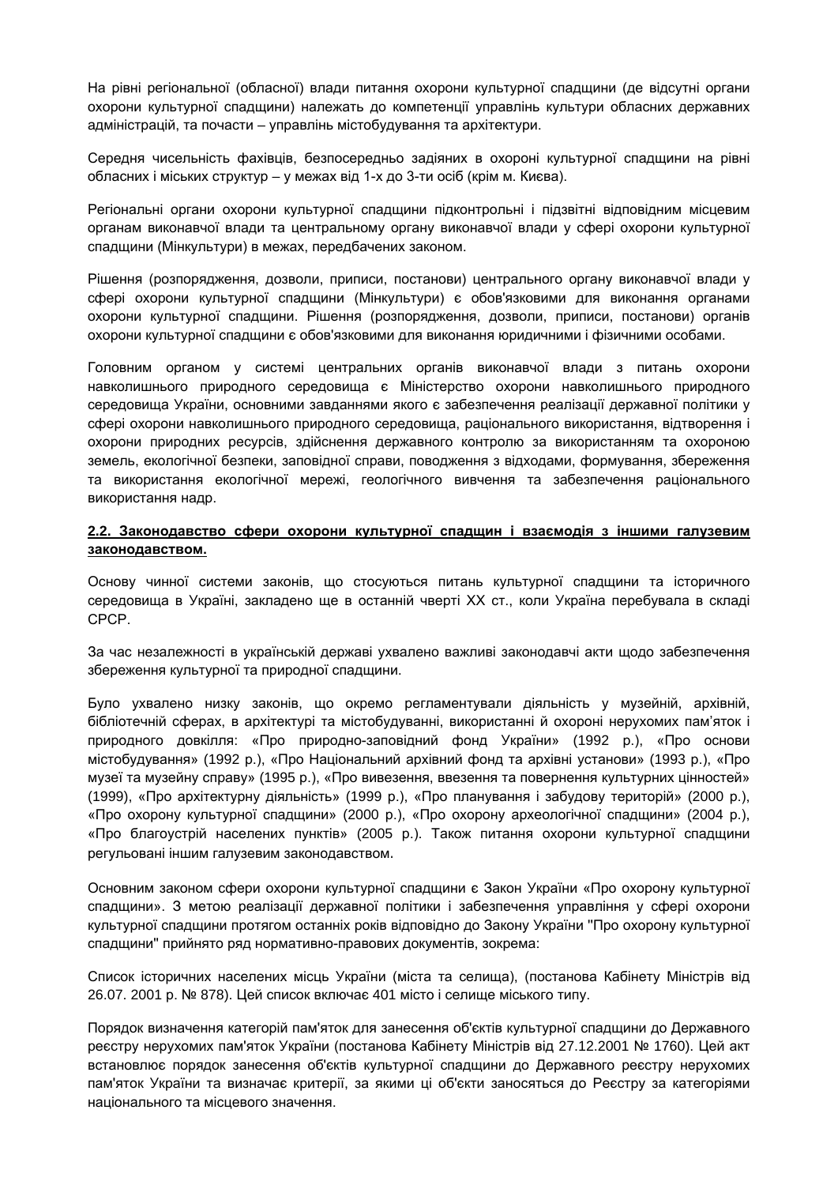На рівні регіональної (обласної) влади питання охорони культурної спадщини (де відсутні органи охорони культурної спадщини) належать до компетенції управлінь культури обласних державних адміністрацій, та почасти – управлінь містобудування та архітектури.

Середня чисельність фахівців, безпосередньо задіяних в охороні культурної спадщини на рівні обласних і міських структур – у межах від 1-х до 3-ти осіб (крім м. Києва).

Регіональні органи охорони культурної спадщини підконтрольні і підзвітні відповідним місцевим органам виконавчої влади та центральному органу виконавчої влади у сфері охорони культурної спадщини (Мінкультури) в межах, передбачених законом.

Рішення (розпорядження, дозволи, приписи, постанови) центрального органу виконавчої влади у сфері охорони культурної спадщини (Мінкультури) є обов'язковими для виконання органами охорони культурної спадщини. Рішення (розпорядження, дозволи, приписи, постанови) органів охорони культурної спадщини є обов'язковими для виконання юридичними і фізичними особами.

Головним органом у системі центральних органів виконавчої влади з питань охорони навколишнього природного середовища є Міністерство охорони навколишнього природного середовища України, основними завданнями якого є забезпечення реалізації державної політики у сфері охорони навколишнього природного середовища, раціонального використання, відтворення і охорони природних ресурсів, здійснення державного контролю за використанням та охороною земель, екологічної безпеки, заповідної справи, поводження з відходами, формування, збереження та використання екологічної мережі, геологічного вивчення та забезпечення раціонального використання надр.

#### **2.2. Законодавство сфери охорони культурної спадщин і взаємодія з іншими галузевим законодавством.**

Основу чинної системи законів, що стосуються питань культурної спадщини та історичного середовища в Україні, закладено ще в останній чверті ХХ ст., коли Україна перебувала в складі СРСР.

За час незалежності в українській державі ухвалено важливі законодавчі акти щодо забезпечення збереження культурної та природної спадщини.

Було ухвалено низку законів, що окремо регламентували діяльність у музейній, архівній, бібліотечній сферах, в архітектурі та містобудуванні, використанні й охороні нерухомих пам'яток і природного довкілля: «Про природно-заповідний фонд України» (1992 р.), «Про основи містобудування» (1992 р.), «Про Національний архівний фонд та архівні установи» (1993 р.), «Про музеї та музейну справу» (1995 р.), «Про вивезення, ввезення та повернення культурних цінностей» (1999), «Про архітектурну діяльність» (1999 р.), «Про планування і забудову територій» (2000 р.), «Про охорону культурної спадщини» (2000 р.), «Про охорону археологічної спадщини» (2004 р.), «Про благоустрій населених пунктів» (2005 р.). Також питання охорони культурної спадщини регульовані іншим галузевим законодавством*.*

Основним законом сфери охорони культурної спадщини є Закон України «Про охорону культурної спадщини». З метою реалізації державної політики і забезпечення управління у сфері охорони культурної спадщини протягом останніх років відповідно до Закону України ''Про охорону культурної спадщини'' прийнято ряд нормативно-правових документів, зокрема:

Список історичних населених місць України (міста та селища), (постанова Кабінету Міністрів від 26.07. 2001 р. № 878). Цей список включає 401 місто і селище міського типу.

Порядок визначення категорій пам'яток для занесення об'єктів культурної спадщини до Державного реєстру нерухомих пам'яток України (постанова Кабінету Міністрів від 27.12.2001 № 1760). Цей акт встановлює порядок занесення об'єктів культурної спадщини до Державного реєстру нерухомих пам'яток України та визначає критерії, за якими ці об'єкти заносяться до Реєстру за категоріями національного та місцевого значення.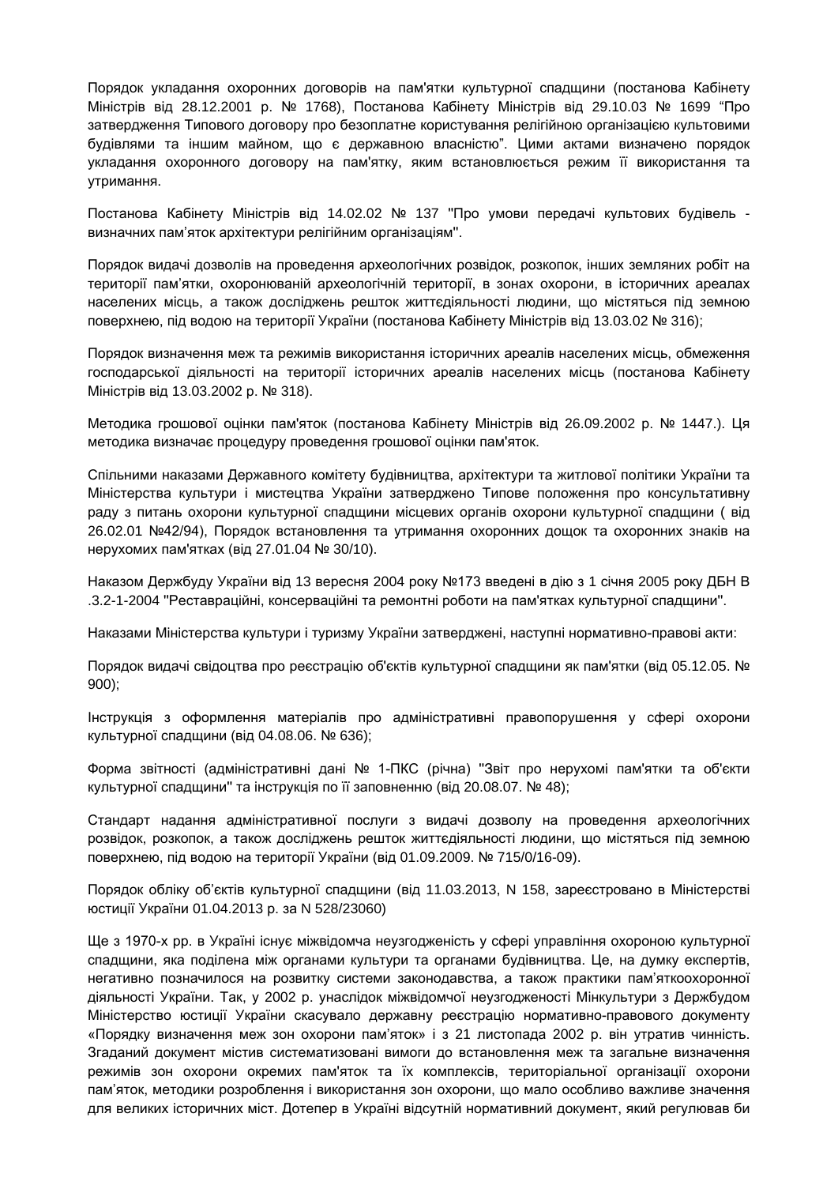Порядок укладання охоронних договорів на пам'ятки культурної спадщини (постанова Кабінету Міністрів від 28.12.2001 р. № 1768), Постанова Кабінету Міністрів від 29.10.03 № 1699 "Про затвердження Типового договору про безоплатне користування релігійною організацією культовими будівлями та іншим майном, що є державною власністю". Цими актами визначено порядок укладання охоронного договору на пам'ятку, яким встановлюється режим її використання та утримання.

Постанова Кабінету Міністрів від 14.02.02 № 137 ''Про умови передачі культових будівель визначних пам'яток архітектури релігійним організаціям''.

Порядок видачі дозволів на проведення археологічних розвідок, розкопок, інших земляних робіт на території пам'ятки, охоронюваній археологічній території, в зонах охорони, в історичних ареалах населених місць, а також досліджень решток життєдіяльності людини, що містяться під земною поверхнею, під водою на території України (постанова Кабінету Міністрів від 13.03.02 № 316);

Порядок визначення меж та режимів використання історичних ареалів населених місць, обмеження господарської діяльності на території історичних ареалів населених місць (постанова Кабінету Міністрів від 13.03.2002 р. № 318).

Методика грошової оцінки пам'яток (постанова Кабінету Міністрів від 26.09.2002 р. № 1447.). Ця методика визначає процедуру проведення грошової оцінки пам'яток.

Спільними наказами Державного комітету будівництва, архітектури та житлової політики України та Міністерства культури і мистецтва України затверджено Типове положення про консультативну раду з питань охорони культурної спадщини місцевих органів охорони культурної спадщини ( від 26.02.01 №42/94), Порядок встановлення та утримання охоронних дощок та охоронних знаків на нерухомих пам'ятках (від 27.01.04 № 30/10).

Наказом Держбуду України від 13 вересня 2004 року №173 введені в дію з 1 січня 2005 року ДБН В .3.2-1-2004 ''Реставраційні, консерваційні та ремонтні роботи на пам'ятках культурної спадщини''.

Наказами Міністерства культури і туризму України затверджені, наступні нормативно-правові акти:

Порядок видачі свідоцтва про реєстрацію об'єктів культурної спадщини як пам'ятки (від 05.12.05. № 900);

Інструкція з оформлення матеріалів про адміністративні правопорушення у сфері охорони культурної спадщини (від 04.08.06. № 636);

Форма звітності (адміністративні дані № 1-ПКС (річна) ''Звіт про нерухомі пам'ятки та об'єкти культурної спадщини'' та інструкція по її заповненню (від 20.08.07. № 48);

Стандарт надання адміністративної послуги з видачі дозволу на проведення археологічних розвідок, розкопок, а також досліджень решток життєдіяльності людини, що містяться під земною поверхнею, під водою на території України (від 01.09.2009. № 715/0/16-09).

Порядок обліку об'єктів культурної спадщини (від 11.03.2013, N 158, зареєстровано в Міністерстві юстиції України 01.04.2013 р. за N 528/23060)

Ще з 1970-х рр. в Україні існує міжвідомча неузгодженість у сфері управління охороною культурної спадщини, яка поділена між органами культури та органами будівництва. Це, на думку експертів, негативно позначилося на розвитку системи законодавства, а також практики пам'яткоохоронної діяльності України. Так, у 2002 р. унаслідок міжвідомчої неузгодженості Мінкультури з Держбудом Міністерство юстиції України скасувало державну реєстрацію нормативно-правового документу «Порядку визначення меж зон охорони пам'яток» і з 21 листопада 2002 р. він утратив чинність. Згаданий документ містив систематизовані вимоги до встановлення меж та загальне визначення режимів зон охорони окремих пам'яток та їх комплексів, територіальної організації охорони пам'яток, методики розроблення і використання зон охорони, що мало особливо важливе значення для великих історичних міст. Дотепер в Україні відсутній нормативний документ, який регулював би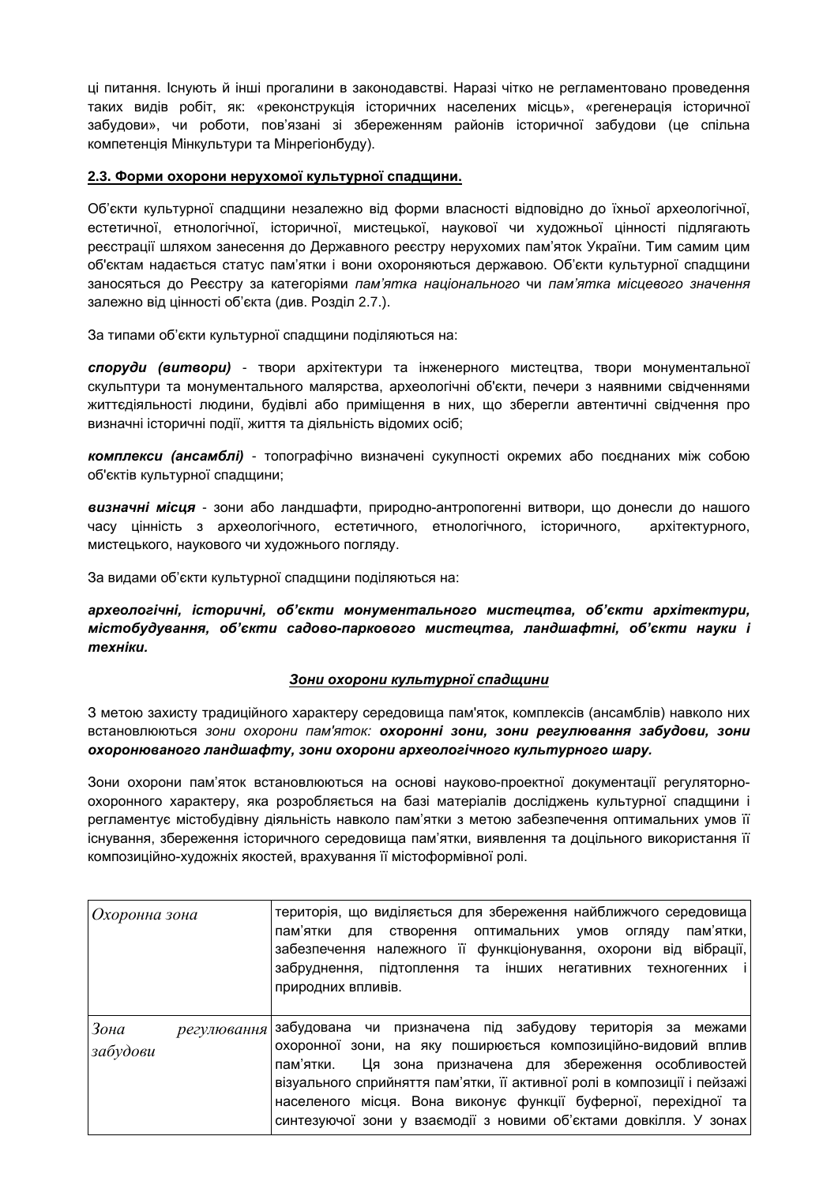ці питання. Існують й інші прогалини в законодавстві. Наразі чітко не регламентовано проведення таких видів робіт, як: «реконструкція історичних населених місць», «регенерація історичної забудови», чи роботи, пов'язані зі збереженням районів історичної забудови (це спільна компетенція Мінкультури та Мінрегіонбуду).

# **2.3. Форми охорони нерухомої культурної спадщини.**

Об'єкти культурної спадщини незалежно від форми власності відповідно до їхньої археологічної, естетичної, етнологічної, історичної, мистецької, наукової чи художньої цінності підлягають реєстрації шляхом занесення до Державного реєстру нерухомих пам'яток України. Тим самим цим об'єктам надається статус пам'ятки і вони охороняються державою. Об'єкти культурної спадщини заносяться до Реєстру за категоріями *пам'ятка національного* чи *пам'ятка місцевого значення* залежно від цінності об'єкта (див. Розділ 2.7.).

За типами об'єкти культурної спадщини поділяються на:

*споруди (витвори)* - твори архітектури та інженерного мистецтва, твори монументальної скульптури та монументального малярства, археологічні об'єкти, печери з наявними свідченнями життєдіяльності людини, будівлі або приміщення в них, що зберегли автентичні свідчення про визначні історичні події, життя та діяльність відомих осіб;

*комплекси (ансамблі)* - топографічно визначені сукупності окремих або поєднаних між собою об'єктів культурної спадщини;

*визначні місця* - зони або ландшафти, природно-антропогенні витвори, що донесли до нашого часу цінність з археологічного, естетичного, етнологічного, історичного, архітектурного, мистецького, наукового чи художнього погляду.

За видами об'єкти культурної спадщини поділяються на:

*археологічні, історичні, об'єкти монументального мистецтва, об'єкти архітектури, містобудування, об'єкти садово-паркового мистецтва, ландшафтні, об'єкти науки і техніки.*

# *Зони охорони культурної спадщини*

З метою захисту традиційного характеру середовища пам'яток, комплексів (ансамблів) навколо них встановлюються *зони охорони пам'яток: охоронні зони, зони регулювання забудови, зони охоронюваного ландшафту, зони охорони археологічного культурного шару.*

Зони охорони пам'яток встановлюються на основі науково-проектної документації регуляторноохоронного характеру, яка розробляється на базі матеріалів досліджень культурної спадщини і регламентує містобудівну діяльність навколо пам'ятки з метою забезпечення оптимальних умов її існування, збереження історичного середовища пам'ятки, виявлення та доцільного використання її композиційно-художніх якостей, врахування її містоформівної ролі.

| Охоронна зона                   | територія, що виділяється для збереження найближчого середовища<br>пам'ятки.<br>пам'ятки<br>створення оптимальних умов<br>для<br>ОГЛЯДУ<br>забезпечення належного її функціонування, охорони від вібрації,<br>забруднення, підтоплення та інших негативних техногенних і<br>природних впливів.                                                                                                               |
|---------------------------------|--------------------------------------------------------------------------------------------------------------------------------------------------------------------------------------------------------------------------------------------------------------------------------------------------------------------------------------------------------------------------------------------------------------|
| Зона<br>регулювання<br>забудови | забудована чи призначена під забудову територія за межами<br>охоронної зони, на яку поширюється композиційно-видовий вплив<br>Ця зона призначена для збереження особливостей<br>пам'ятки.<br>візуального сприйняття пам'ятки, її активної ролі в композиції і пейзажі<br>населеного місця. Вона виконує функції буферної, перехідної та<br>синтезуючої зони у взаємодії з новими об'єктами довкілля. У зонах |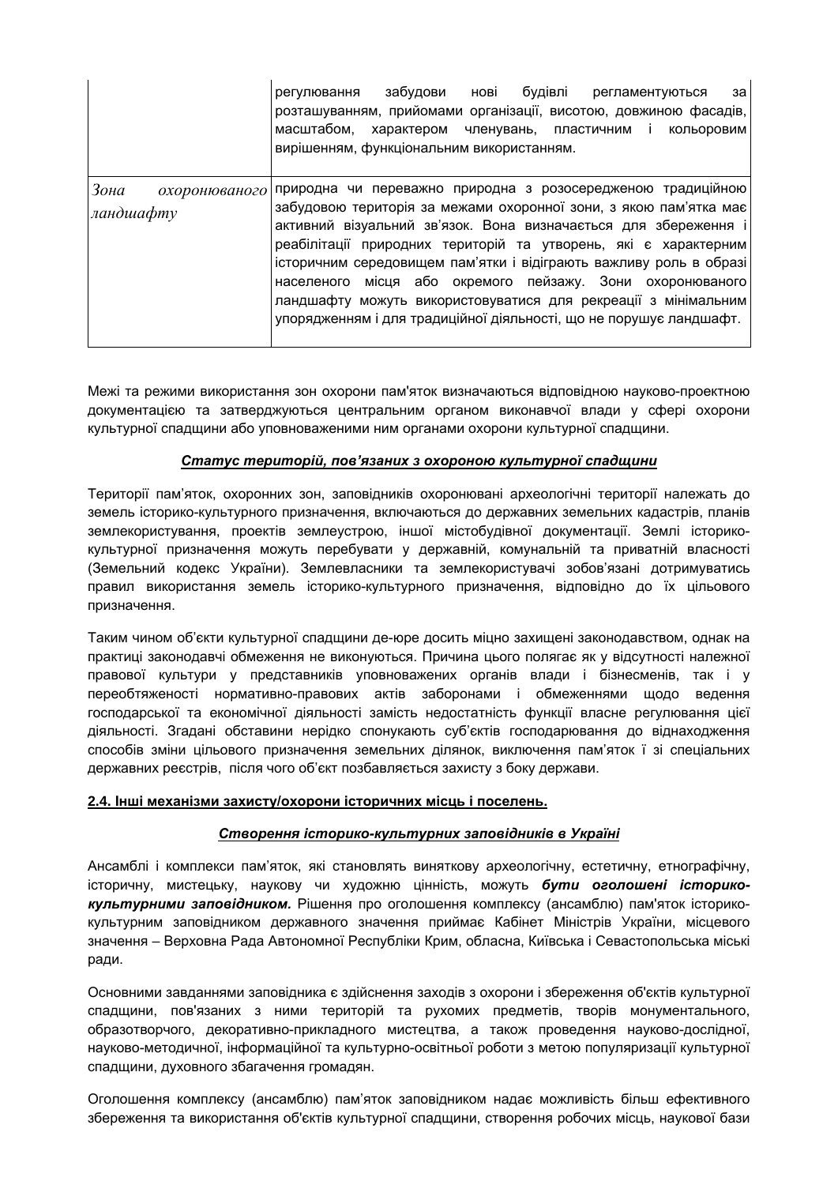|                                    | нові<br>будівлі<br>забудови<br>регламентуються<br>регулювання<br>за<br>розташуванням, прийомами організації, висотою, довжиною фасадів,<br>масштабом,<br>характером<br>членувань, пластичним і<br>кольоровим<br>вирішенням, функціональним використанням.                                                                                                                                                                                                                                                                                         |
|------------------------------------|---------------------------------------------------------------------------------------------------------------------------------------------------------------------------------------------------------------------------------------------------------------------------------------------------------------------------------------------------------------------------------------------------------------------------------------------------------------------------------------------------------------------------------------------------|
| Зона<br>охоронюваного<br>ландшафту | природна чи переважно природна з розосередженою традиційною<br>забудовою територія за межами охоронної зони, з якою пам'ятка має<br>активний візуальний зв'язок. Вона визначається для збереження і<br>реабілітації природних територій та утворень, які є характерним<br>історичним середовищем пам'ятки і відіграють важливу роль в образі<br>населеного місця або окремого пейзажу. Зони охоронюваного<br>ландшафту можуть використовуватися для рекреації з мінімальним<br>упорядженням і для традиційної діяльності, що не порушує ландшафт. |

Межі та режими використання зон охорони пам'яток визначаються відповідною науково-проектною документацією та затверджуються центральним органом виконавчої влади у сфері охорони культурної спадщини або уповноваженими ним органами охорони культурної спадщини.

# *Статус територій, пов'язаних з охороною культурної спадщини*

Території пам'яток, охоронних зон, заповідників охоронювані археологічні території належать до земель історико-культурного призначення, включаються до державних земельних кадастрів, планів землекористування, проектів землеустрою, іншої містобудівної документації. Землі історикокультурної призначення можуть перебувати у державній, комунальній та приватній власності (Земельний кодекс України). Землевласники та землекористувачі зобов'язані дотримуватись правил використання земель історико-культурного призначення, відповідно до їх цільового призначення.

Таким чином об'єкти культурної спадщини де-юре досить міцно захищені законодавством, однак на практиці законодавчі обмеження не виконуються. Причина цього полягає як у відсутності належної правової культури у представників уповноважених органів влади і бізнесменів, так і у переобтяженості нормативно-правових актів заборонами і обмеженнями щодо ведення господарської та економічної діяльності замість недостатність функції власне регулювання цієї діяльності. Згадані обставини нерідко спонукають суб'єктів господарювання до віднаходження способів зміни цільового призначення земельних ділянок, виключення пам'яток ї зі спеціальних державних реєстрів, після чого об'єкт позбавляється захисту з боку держави.

# **2.4. Інші механізми захисту/охорони історичних місць і поселень.**

# *Створення історико-культурних заповідників в Україні*

Ансамблі і комплекси пам'яток, які становлять виняткову археологічну, естетичну, етнографічну, історичну, мистецьку, наукову чи художню цінність, можуть *бути оголошені історикокультурними заповідником.* Рішення про оголошення комплексу (ансамблю) пам'яток історикокультурним заповідником державного значення приймає Кабінет Міністрів України, місцевого значення – Верховна Рада Автономної Республіки Крим, обласна, Київська і Севастопольська міські ради.

Основними завданнями заповідника є здійснення заходів з охорони і збереження об'єктів культурної спадщини, пов'язаних з ними територій та рухомих предметів, творів монументального, образотворчого, декоративно-прикладного мистецтва, а також проведення науково-дослідної, науково-методичної, інформаційної та культурно-освітньої роботи з метою популяризації культурної спадщини, духовного збагачення громадян.

Оголошення комплексу (ансамблю) пам'яток заповідником надає можливість більш ефективного збереження та використання об'єктів культурної спадщини, створення робочих місць, наукової бази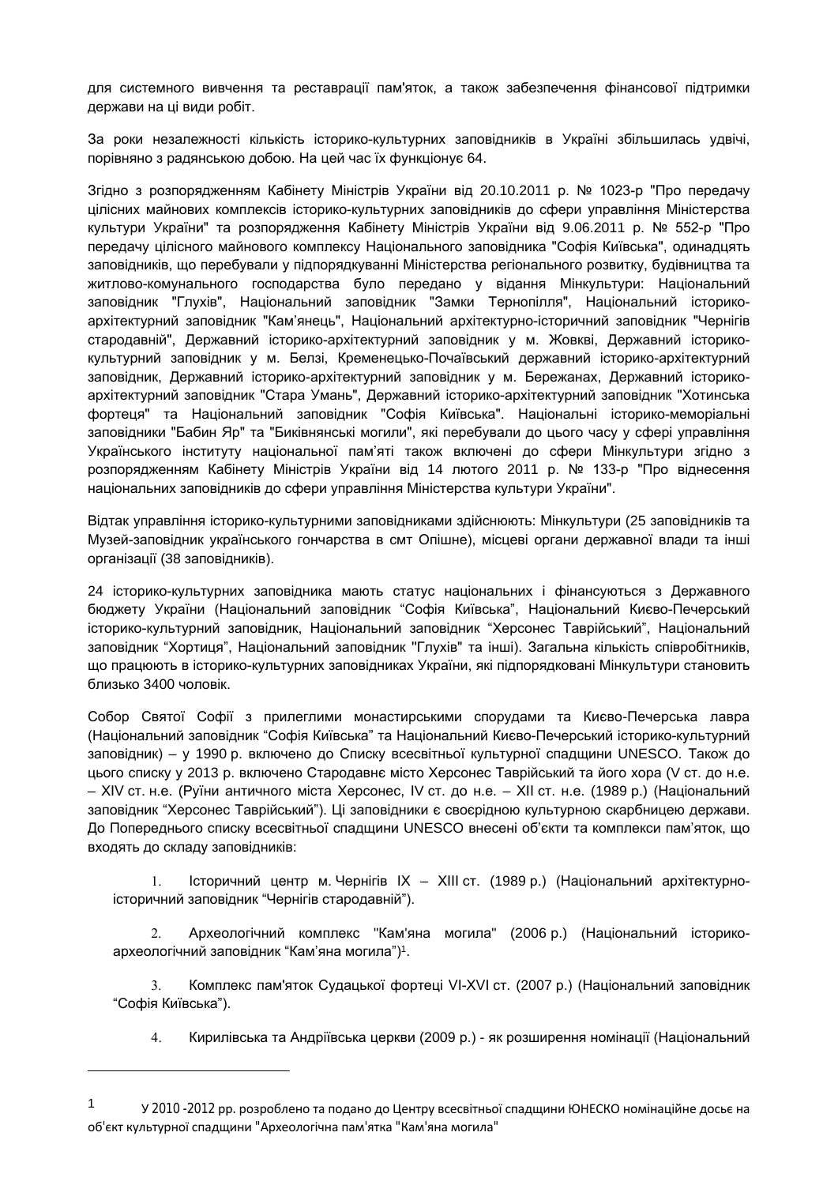для системного вивчення та реставрації пам'яток, а також забезпечення фінансової підтримки держави на ці види робіт.

За роки незалежності кількість історико-культурних заповідників в Україні збільшилась удвічі, порівняно з радянською добою. На цей час їх функціонує 64.

Згідно з розпорядженням Кабінету Міністрів України від 20.10.2011 р. № 1023-р "Про передачу цілісних майнових комплексів історико-культурних заповідників до сфери управління Міністерства культури України" та розпорядження Кабінету Міністрів України від 9.06.2011 р. № 552-р "Про передачу цілісного майнового комплексу Національного заповідника "Софія Київська", одинадцять заповідників, що перебували у підпорядкуванні Міністерства регіонального розвитку, будівництва та житлово-комунального господарства було передано у відання Мінкультури: Національний заповідник "Глухів", Національний заповідник "Замки Тернопілля", Національний історикоархітектурний заповідник "Кам'янець", Національний архітектурно-історичний заповідник "Чернігів стародавній", Державний історико-архітектурний заповідник у м. Жовкві, Державний історикокультурний заповідник у м. Белзі, Кременецько-Почаївський державний історико-архітектурний заповідник, Державний історико-архітектурний заповідник у м. Бережанах, Державний історикоархітектурний заповідник "Стара Умань", Державний історико-архітектурний заповідник "Хотинська фортеця" та Національний заповідник "Софія Київська". Національні історико-меморіальні заповідники "Бабин Яр" та "Биківнянські могили", які перебували до цього часу у сфері управління Українського інституту національної пам'яті також включені до сфери Мінкультури згідно з розпорядженням Кабінету Міністрів України від 14 лютого 2011 р. № 133-р "Про віднесення національних заповідників до сфери управління Міністерства культури України".

Відтак управління історико-культурними заповідниками здійснюють: Мінкультури (25 заповідників та Музей-заповідник українського гончарства в смт Опішне), місцеві органи державної влади та інші організації (38 заповідників).

24 історико-культурних заповідника мають статус національних і фінансуються з Державного бюджету України (Національний заповідник "Софія Київська", Національний Києво-Печерський історико-культурний заповідник, Національний заповідник "Херсонес Таврійський", Національний заповідник "Хортиця", Національний заповідник ''Глухів" та інші). Загальна кількість співробітників, що працюють в історико-культурних заповідниках України, які підпорядковані Мінкультури становить близько 3400 чоловік.

Собор Святої Софії з прилеглими монастирськими спорудами та Києво-Печерська лавра (Національний заповідник "Софія Київська" та Національний Києво-Печерський історико-культурний заповідник) – у 1990 р. включено до Списку всесвітньої культурної спадщини UNESCO. Також до цього списку у 2013 р. включено Стародавнє місто Херсонес Таврійський та його хора (V ст. до н.е. – ХІV ст. н.е. (Руїни античного міста Херсонес, ІV ст. до н.е. – ХІІ ст. н.е. (1989 р.) (Національний заповідник "Херсонес Таврійський"). Ці заповідники є своєрідною культурною скарбницею держави. До Попереднього списку всесвітньої спадщини UNESCO внесені об'єкти та комплекси пам'яток, що входять до складу заповідників:

 Історичний центр м. Чернігів ІХ – ХІІІ ст. (1989 р.) (Національний архітектурноісторичний заповідник "Чернігів стародавній").

 Археологічний комплекс "Кам'яна могила" (2006 р.) (Національний історикоархеологічний заповідник "Кам'яна могила")1.

3. Комплекс пам'яток Судацької фортеці VI-XVI ст. (2007 р.) (Національний заповідник "Софія Київська").

Кирилівська та Андріївська церкви (2009 р.) - як розширення номінації (Національний

<sup>1</sup> У 2010 -2012 рр. розроблено та подано до Центру всесвітньої спадщини ЮНЕСКО номінаційне досьє на об'єкт культурної спадщини "Археологічна пам'ятка "Кам'яна могила"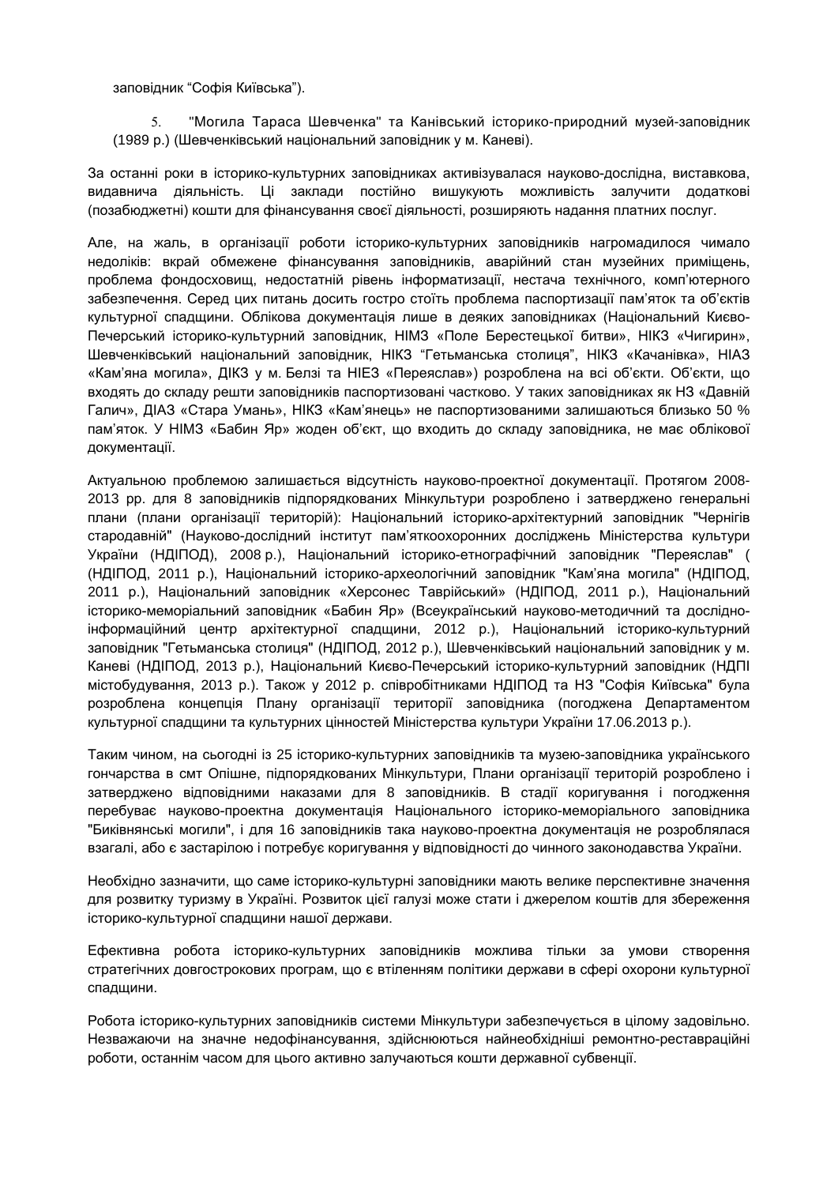заповідник "Софія Київська").

 "Могила Тараса Шевченка" та Канівський історико-природний музей-заповідник (1989 р.) (Шевченківський національний заповідник у м. Каневі).

За останні роки в історико-культурних заповідниках активізувалася науково-дослідна, виставкова, видавнича діяльність. Ці заклади постійно вишукують можливість залучити додаткові (позабюджетні) кошти для фінансування своєї діяльності, розширяють надання платних послуг.

Але, на жаль, в організації роботи історико-культурних заповідників нагромадилося чимало недоліків: вкрай обмежене фінансування заповідників, аварійний стан музейних приміщень, проблема фондосховищ, недостатній рівень інформатизації, нестача технічного, комп'ютерного забезпечення. Серед цих питань досить гостро стоїть проблема паспортизації пам'яток та об'єктів культурної спадщини. Облікова документація лише в деяких заповідниках (Національний Києво-Печерський історико-культурний заповідник, НІМЗ «Поле Берестецької битви», НІКЗ «Чигирин», Шевченківський національний заповідник, НІКЗ "Гетьманська столиця", НІКЗ «Качанівка», НІАЗ «Кам'яна могила», ДІКЗ у м. Белзі та НІЕЗ «Переяслав») розроблена на всі об'єкти. Об'єкти, що входять до складу решти заповідників паспортизовані частково. У таких заповідниках як НЗ «Давній Галич», ДІАЗ «Стара Умань», НІКЗ «Кам'янець» не паспортизованими залишаються близько 50 % пам'яток. У НІМЗ «Бабин Яр» жоден об'єкт, що входить до складу заповідника, не має облікової документації.

Актуальною проблемою залишається відсутність науково-проектної документації. Протягом 2008- 2013 рр. для 8 заповідників підпорядкованих Мінкультури розроблено і затверджено генеральні плани (плани організації територій): Національний історико-архітектурний заповідник "Чернігів стародавній" (Науково-дослідний інститут пам'яткоохоронних досліджень Міністерства культури України (НДІПОД), 2008 р.), Національний історико-етнографічний заповідник "Переяслав" ( (НДІПОД, 2011 р.), Національний історико-археологічний заповідник "Кам'яна могила" (НДІПОД, 2011 р.), Національний заповідник «Херсонес Таврійський» (НДІПОД, 2011 р.), Національний історико-меморіальний заповідник «Бабин Яр» (Всеукраїнський науково-методичний та дослідноінформаційний центр архітектурної спадщини, 2012 р.), Національний історико-культурний заповідник "Гетьманська столиця" (НДІПОД, 2012 р.), Шевченківський національний заповідник у м. Каневі (НДІПОД, 2013 р.), Національний Києво-Печерський історико-культурний заповідник (НДПІ містобудування, 2013 р.). Також у 2012 р. співробітниками НДІПОД та НЗ "Софія Київська" була розроблена концепція Плану організації території заповідника (погоджена Департаментом культурної спадщини та культурних цінностей Міністерства культури України 17.06.2013 р.).

Таким чином, на сьогодні із 25 історико-культурних заповідників та музею-заповідника українського гончарства в смт Опішне, підпорядкованих Мінкультури, Плани організації територій розроблено і затверджено відповідними наказами для 8 заповідників. В стадії коригування і погодження перебуває науково-проектна документація Національного історико-меморіального заповідника "Биківнянські могили", і для 16 заповідників така науково-проектна документація не розроблялася взагалі, або є застарілою і потребує коригування у відповідності до чинного законодавства України.

Необхідно зазначити, що саме історико-культурні заповідники мають велике перспективне значення для розвитку туризму в Україні. Розвиток цієї галузі може стати і джерелом коштів для збереження історико-культурної спадщини нашої держави.

Ефективна робота історико-культурних заповідників можлива тільки за умови створення стратегічних довгострокових програм, що є втіленням політики держави в сфері охорони культурної спадщини.

Робота історико-культурних заповідників системи Мінкультури забезпечується в цілому задовільно. Незважаючи на значне недофінансування, здійснюються найнеобхідніші ремонтно-реставраційні роботи, останнім часом для цього активно залучаються кошти державної субвенції.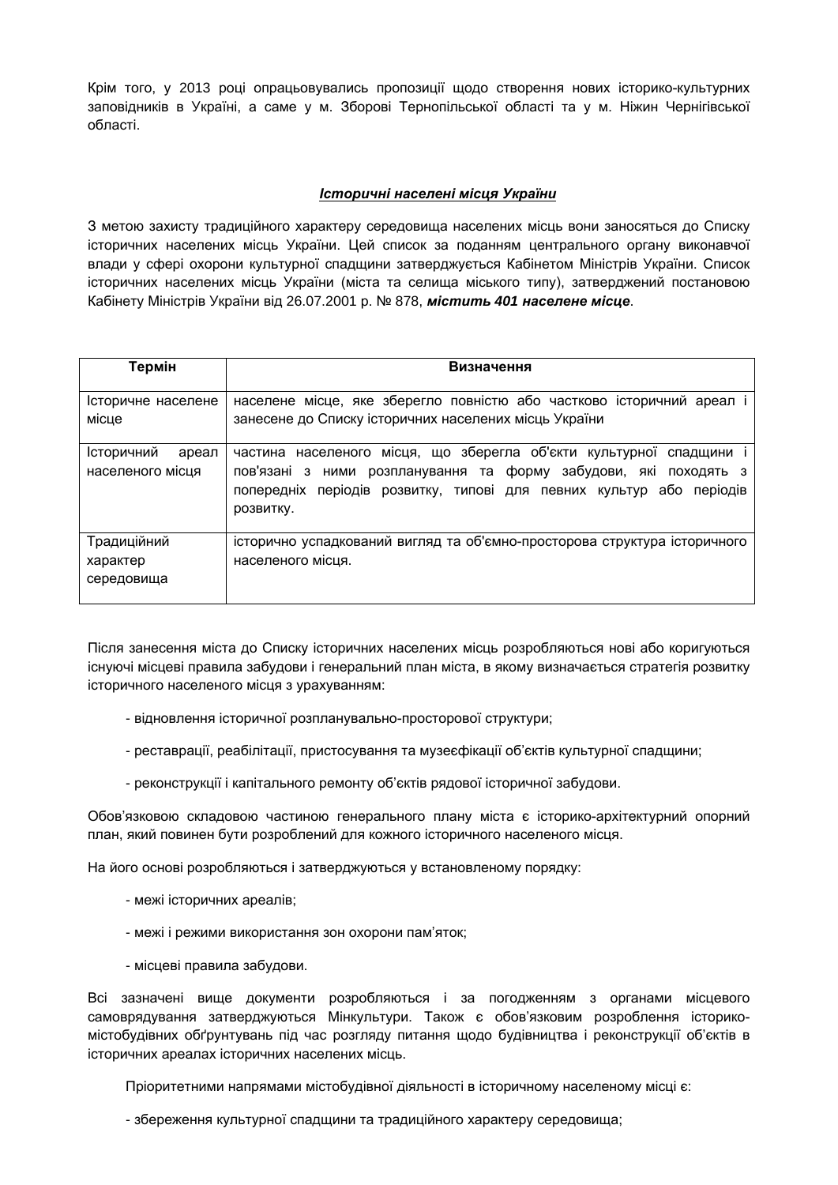Крім того, у 2013 році опрацьовувались пропозиції щодо створення нових історико-культурних заповідників в Україні, а саме у м. Зборові Тернопільської області та у м. Ніжин Чернігівської області.

#### *Історичні населені місця України*

З метою захисту традиційного характеру середовища населених місць вони заносяться до Списку історичних населених місць України. Цей список за поданням центрального органу виконавчої влади у сфері охорони культурної спадщини затверджується Кабінетом Міністрів України. Список історичних населених місць України (міста та селища міського типу), затверджений постановою Кабінету Міністрів України від 26.07.2001 р. № 878, *містить 401 населене місце*.

| Термін                                  | Визначення                                                                                                                                                                                                                 |
|-----------------------------------------|----------------------------------------------------------------------------------------------------------------------------------------------------------------------------------------------------------------------------|
| Історичне населене<br>місце             | населене місце, яке зберегло повністю або частково історичний ареал і<br>занесене до Списку історичних населених місць України                                                                                             |
| Історичний<br>ареал<br>населеного місця | частина населеного місця, що зберегла об'єкти культурної спадщини<br>пов'язані з ними розпланування та форму забудови, які походять з<br>попередніх періодів розвитку, типові для певних культур або періодів<br>розвитку. |
| Традиційний<br>характер<br>середовища   | історично успадкований вигляд та об'ємно-просторова структура історичного<br>населеного місця.                                                                                                                             |

Після занесення міста до Списку історичних населених місць розробляються нові або коригуються існуючі місцеві правила забудови і генеральний план міста, в якому визначається стратегія розвитку історичного населеного місця з урахуванням:

- відновлення історичної розпланувально-просторової структури;
- реставрації, реабілітації, пристосування та музеєфікації об'єктів культурної спадщини;
- реконструкції і капітального ремонту об'єктів рядової історичної забудови.

Обов'язковою складовою частиною генерального плану міста є історико-архітектурний опорний план, який повинен бути розроблений для кожного історичного населеного місця.

На його основі розробляються і затверджуються у встановленому порядку:

- межі історичних ареалів;
- межі і режими використання зон охорони пам'яток;
- місцеві правила забудови.

Всі зазначені вище документи розробляються і за погодженням з органами місцевого самоврядування затверджуються Мінкультури. Також є обов'язковим розроблення історикомістобудівних обґрунтувань під час розгляду питання щодо будівництва і реконструкції об'єктів в історичних ареалах історичних населених місць.

Пріоритетними напрямами містобудівної діяльності в історичному населеному місці є:

- збереження культурної спадщини та традиційного характеру середовища;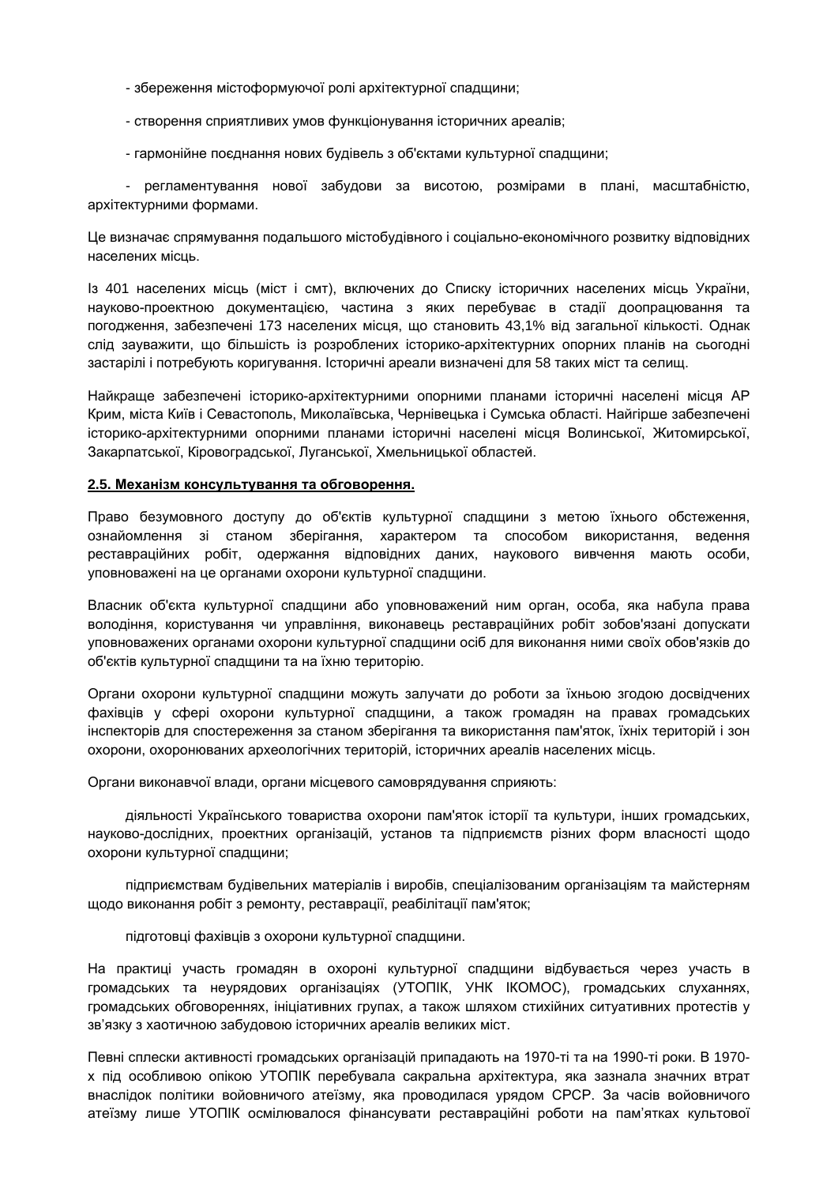- збереження містоформуючої ролі архітектурної спадщини;
- створення сприятливих умов функціонування історичних ареалів;
- гармонійне поєднання нових будівель з об'єктами культурної спадщини;

- регламентування нової забудови за висотою, розмірами в плані, масштабністю, архітектурними формами.

Це визначає спрямування подальшого містобудівного і соціально-економічного розвитку відповідних населених місць.

Із 401 населених місць (міст і смт), включених до Списку історичних населених місць України, науково-проектною документацією, частина з яких перебуває в стадії доопрацювання та погодження, забезпечені 173 населених місця, що становить 43,1% від загальної кількості. Однак слід зауважити, що більшість із розроблених історико-архітектурних опорних планів на сьогодні застарілі і потребують коригування. Історичні ареали визначені для 58 таких міст та селищ.

Найкраще забезпечені історико-архітектурними опорними планами історичні населені місця АР Крим, міста Київ і Севастополь, Миколаївська, Чернівецька і Сумська області. Найгірше забезпечені історико-архітектурними опорними планами історичні населені місця Волинської, Житомирської, Закарпатської, Кіровоградської, Луганської, Хмельницької областей.

#### **2.5. Механізм консультування та обговорення.**

Право безумовного доступу до об'єктів культурної спадщини з метою їхнього обстеження, ознайомлення зі станом зберігання, характером та способом використання, ведення реставраційних робіт, одержання відповідних даних, наукового вивчення мають особи, уповноважені на це органами охорони культурної спадщини.

Власник об'єкта культурної спадщини або уповноважений ним орган, особа, яка набула права володіння, користування чи управління, виконавець реставраційних робіт зобов'язані допускати уповноважених органами охорони культурної спадщини осіб для виконання ними своїх обов'язків до об'єктів культурної спадщини та на їхню територію.

Органи охорони культурної спадщини можуть залучати до роботи за їхньою згодою досвідчених фахівців у сфері охорони культурної спадщини, а також громадян на правах громадських інспекторів для спостереження за станом зберігання та використання пам'яток, їхніх територій і зон охорони, охоронюваних археологічних територій, історичних ареалів населених місць.

Органи виконавчої влади, органи місцевого самоврядування сприяють:

діяльності Українського товариства охорони пам'яток історії та культури, інших громадських, науково-дослідних, проектних організацій, установ та підприємств різних форм власності щодо охорони культурної спадщини;

підприємствам будівельних матеріалів і виробів, спеціалізованим організаціям та майстерням щодо виконання робіт з ремонту, реставрації, реабілітації пам'яток;

підготовці фахівців з охорони культурної спадщини.

На практиці участь громадян в охороні культурної спадщини відбувається через участь в громадських та неурядових організаціях (УТОПІК, УНК ІКОМОС), громадських слуханнях, громадських обговореннях, ініціативних групах, а також шляхом стихійних ситуативних протестів у зв'язку з хаотичною забудовою історичних ареалів великих міст.

Певні сплески активності громадських організацій припадають на 1970-ті та на 1990-ті роки. В 1970 х під особливою опікою УТОПІК перебувала сакральна архітектура, яка зазнала значних втрат внаслідок політики войовничого атеїзму, яка проводилася урядом СРСР. За часів войовничого атеїзму лише УТОПІК осмілювалося фінансувати реставраційні роботи на пам'ятках культової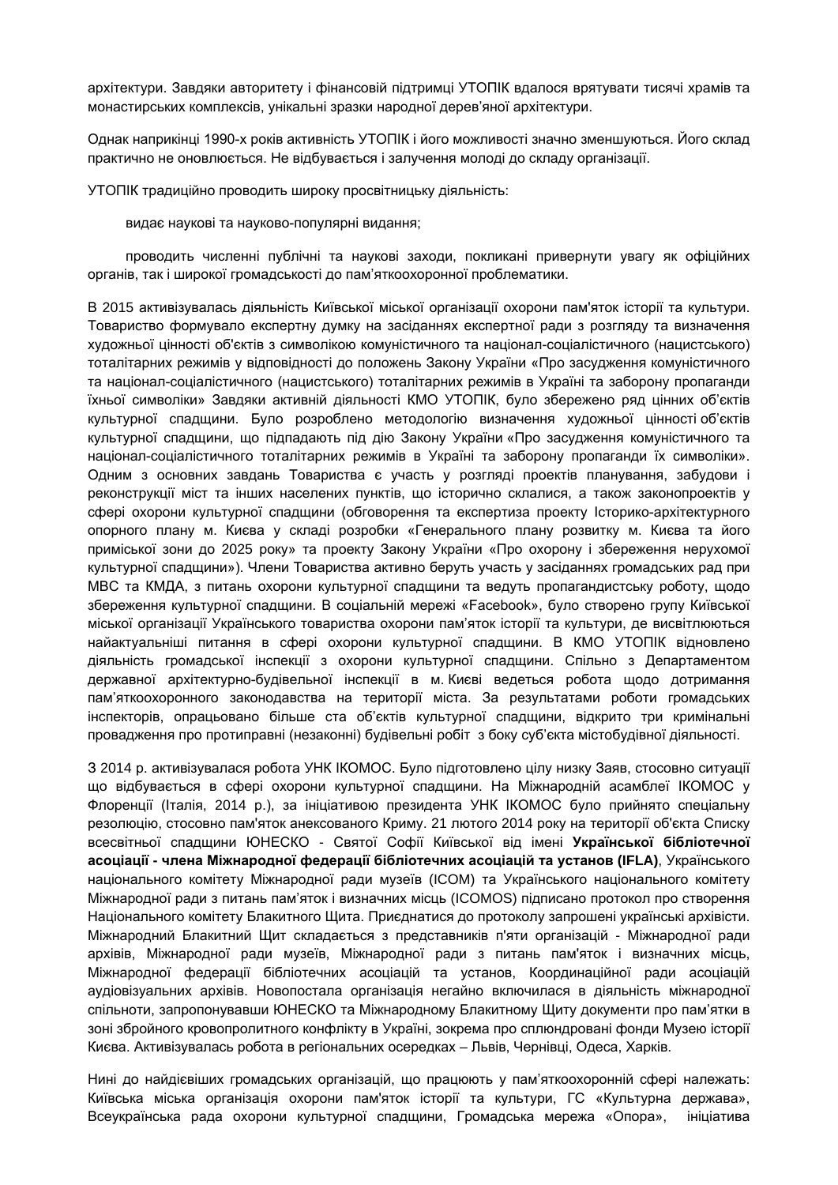архітектури. Завдяки авторитету і фінансовій підтримці УТОПІК вдалося врятувати тисячі храмів та монастирських комплексів, унікальні зразки народної дерев'яної архітектури.

Однак наприкінці 1990-х років активність УТОПІК і його можливості значно зменшуються. Його склад практично не оновлюється. Не відбувається і залучення молоді до складу організації.

УТОПІК традиційно проводить широку просвітницьку діяльність:

видає наукові та науково-популярні видання;

проводить численні публічні та наукові заходи, покликані привернути увагу як офіційних органів, так і широкої громадськості до пам'яткоохоронної проблематики.

В 2015 активізувалась діяльність Київської міської організації охорони пам'яток історії та культури. Товариство формувало експертну думку на засіданнях експертної ради з розгляду та визначення художньої цінності об'єктів з символікою комуністичного та націонал-соціалістичного (нацистського) тоталітарних режимів у відповідності до положень Закону України «Про засудження комуністичного та націонал-соціалістичного (нацистського) тоталітарних режимів в Україні та заборону пропаганди їхньої символіки» Завдяки активній діяльності КМО УТОПІК, було збережено ряд цінних об'єктів культурної спадщини. Було розроблено методологію визначення художньої цінності об'єктів культурної спадщини, що підпадають під дію Закону України «Про засудження комуністичного та націонал-соціалістичного тоталітарних режимів в Україні та заборону пропаганди їх символіки». Одним з основних завдань Товариства є участь у розгляді проектів планування, забудови і реконструкції міст та інших населених пунктів, що історично склалися, а також законопроектів у сфері охорони культурної спадщини (обговорення та експертиза проекту Історико-архітектурного опорного плану м. Києва у складі розробки «Генерального плану розвитку м. Києва та його приміської зони до 2025 року» та проекту Закону України «Про охорону і збереження нерухомої культурної спадщини»). Члени Товариства активно беруть участь у засіданнях громадських рад при МВС та КМДА, з питань охорони культурної спадщини та ведуть пропагандистську роботу, щодо збереження культурної спадщини. В соціальній мережі «Faсebook», було створено групу Київської міської організації Українського товариства охорони пам'яток історії та культури, де висвітлюються найактуальніші питання в сфері охорони культурної спадщини. В КМО УТОПІК відновлено діяльність громадської інспекції з охорони культурної спадщини. Спільно з Департаментом державної архітектурно-будівельної інспекції в м. Києві ведеться робота щодо дотримання пам'яткоохоронного законодавства на території міста. За результатами роботи громадських інспекторів, опрацьовано більше ста об'єктів культурної спадщини, відкрито три кримінальні провадження про протиправні (незаконні) будівельні робіт з боку суб'єкта містобудівної діяльності.

З 2014 р. активізувалася робота УНК ІКОМОС. Було підготовлено цілу низку Заяв, стосовно ситуації що відбувається в сфері охорони культурної спадщини. На Міжнародній асамблеї ІКОМОС у Флоренції (Італія, 2014 р.), за ініціативою президента УНК ІКОМОС було прийнято спеціальну резолюцію, стосовно пам'яток анексованого Криму. 21 лютого 2014 року на території об'єкта Списку всесвітньої спадщини ЮНЕСКО - Святої Софії Київської від імені **Української бібліотечної асоціації - члена Міжнародної федерації бібліотечних асоціацій та установ (IFLA)**, Українського національного комітету Міжнародної ради музеїв (ICOM) та Українського національного комітету Міжнародної ради з питань пам'яток і визначних місць (ICOMOS) підписано протокол про створення Національного комітету Блакитного Щита. Приєднатися до протоколу запрошені українські архівісти. Міжнародний Блакитний Щит складається з представників п'яти організацій - Міжнародної ради архівів, Міжнародної ради музеїв, Міжнародної ради з питань пам'яток і визначних місць, Міжнародної федерації бібліотечних асоціацій та установ, Координаційної ради асоціацій аудіовізуальних архівів. Новопостала організація негайно включилася в діяльність міжнародної спільноти, запропонувавши ЮНЕСКО та Міжнародному Блакитному Щиту документи про пам'ятки в зоні збройного кровопролитного конфлікту в Україні, зокрема про сплюндровані фонди Музею історії Києва. Активізувалась робота в регіональних осередках – Львів, Чернівці, Одеса, Харків.

Нині до найдієвіших громадських організацій, що працюють у пам'яткоохоронній сфері належать: Київська міська організація охорони пам'яток історії та культури, ГС «Культурна держава», Всеукраїнська рада охорони культурної спадщини, Громадська мережа «Опора», ініціатива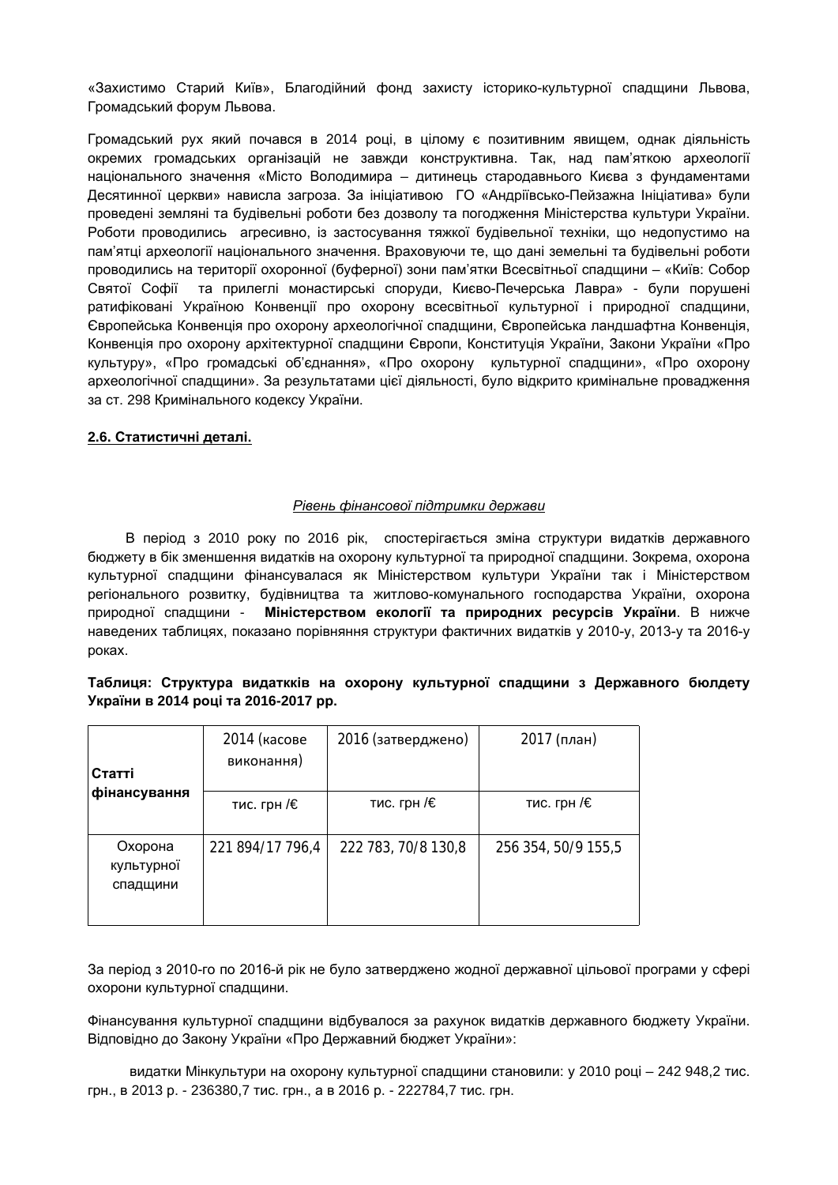«Захистимо Старий Київ», Благодійний фонд захисту історико-культурної спадщини Львова, Громадський форум Львова.

Громадський рух який почався в 2014 році, в цілому є позитивним явищем, однак діяльність окремих громадських організацій не завжди конструктивна. Так, над пам'яткою археології національного значення «Місто Володимира – дитинець стародавнього Києва з фундаментами Десятинної церкви» нависла загроза. За ініціативою ГО «Андріївсько-Пейзажна Ініціатива» були проведені земляні та будівельні роботи без дозволу та погодження Міністерства культури України. Роботи проводились агресивно, із застосування тяжкої будівельної техніки, що недопустимо на пам'ятці археології національного значення. Враховуючи те, що дані земельні та будівельні роботи проводились на території охоронної (буферної) зони пам'ятки Всесвітньої спадщини – «Київ: Собор Святої Софії та прилеглі монастирські споруди, Києво-Печерська Лавра» - були порушені ратифіковані Україною Конвенції про охорону всесвітньої культурної і природної спадщини, Європейська Конвенція про охорону археологічної спадщини, Європейська ландшафтна Конвенція, Конвенція про охорону архітектурної спадщини Європи, Конституція України, Закони України «Про культуру», «Про громадські об'єднання», «Про охорону культурної спадщини», «Про охорону археологічної спадщини». За результатами цієї діяльності, було відкрито кримінальне провадження за ст. 298 Кримінального кодексу України.

#### **2.6. Статистичні деталі.**

#### *Рівень фінансової підтримки держави*

В період з 2010 року по 2016 рік, спостерігається зміна структури видатків державного бюджету в бік зменшення видатків на охорону культурної та природної спадщини. Зокрема, охорона культурної спадщини фінансувалася як Міністерством культури України так і Міністерством регіонального розвитку, будівництва та житлово-комунального господарства України, охорона природної спадщини - **[Міністерством](https://www.google.com.ua/url?sa=t&rct=j&q=&esrc=s&source=web&cd=1&sqi=2&ved=0ahUKEwjEpPfO497OAhXJ_ywKHaMlAtsQFggaMAA&url=http%3A%2F%2Fwww.menr.gov.ua%2F&usg=AFQjCNFe8YwbQZ79qaY0Au3_hEUV90mFRA&cad=rja) екології та природних ресурсів України**. В нижче наведених таблицях, показано порівняння структури фактичних видатків у 2010-у, 2013-у та 2016-у роках.

# **Таблиця: Структура видаткків на охорону культурної спадщини з Державного бюлдету України в 2014 році та 2016-2017 рр.**

| Статті<br>фінансування            | 2014 (касове<br>виконання) | 2016 (затверджено)  | 2017 (план)         |
|-----------------------------------|----------------------------|---------------------|---------------------|
|                                   | тис. грн /€                | тис. грн /€         | тис. грн /€         |
| Охорона<br>культурної<br>спадщини | 221 894/17 796,4           | 222 783, 70/8 130,8 | 256 354, 50/9 155,5 |

За період з 2010-го по 2016-й рік не було затверджено жодної державної цільової програми у сфері охорони культурної спадщини.

Фінансування культурної спадщини відбувалося за рахунок видатків державного бюджету України. Відповідно до Закону України «Про Державний бюджет України»:

видатки Мінкультури на охорону культурної спадщини становили: у 2010 році – 242 948,2 тис. грн., в 2013 р. - 236380,7 тис. грн., а в 2016 р. - [222784,7](http://search.ligazakon.ua/l_doc2.nsf/link1/T161384.html) тис. грн.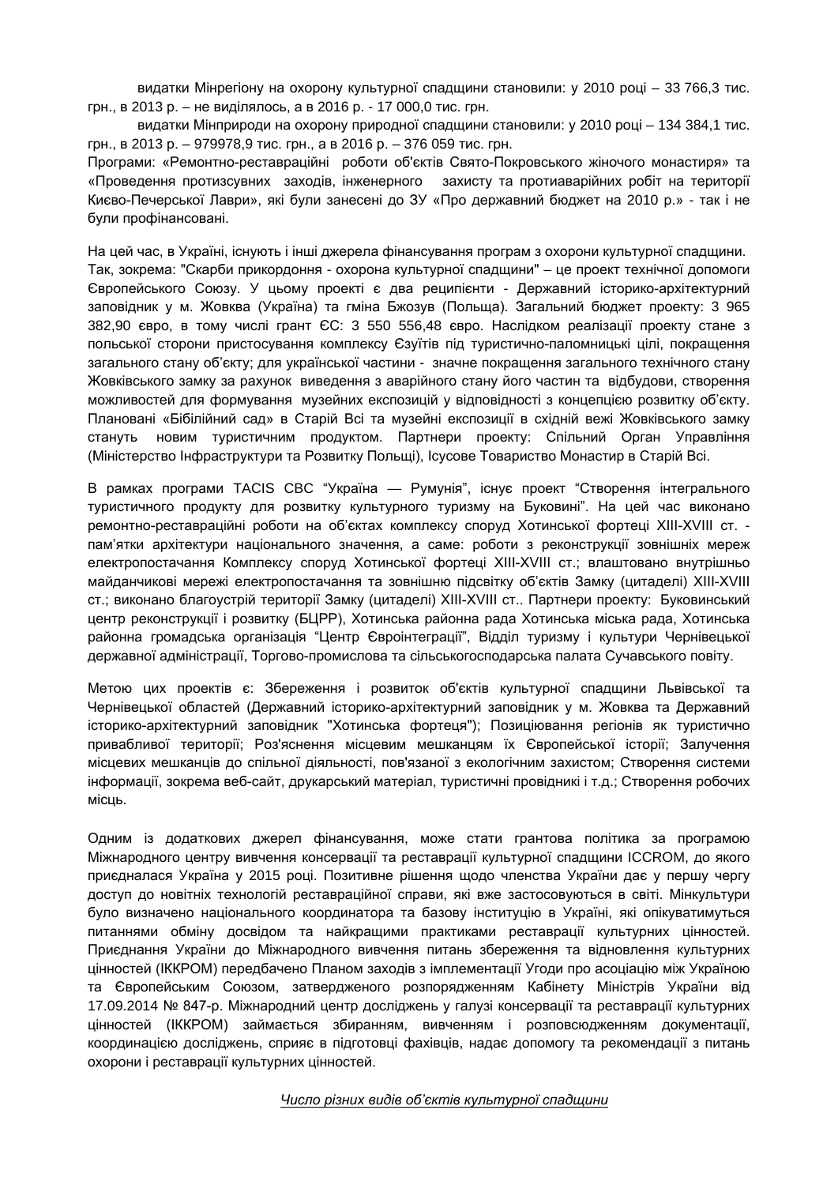видатки Мінрегіону на охорону культурної спадщини становили: у 2010 році – 33 766,3 тис. грн., в 2013 р. – не виділялось, а в 2016 р. - 17 000,0 тис. грн.

видатки Мінприроди на охорону природної спадщини становили: у 2010 році – 134 384,1 тис. грн., в 2013 р. – 979978,9 тис. грн., а в 2016 р. – 376 059 тис. грн.

Програми: «Ремонтно-реставраційні роботи об'єктів Свято-Покровського жіночого монастиря» та «Проведення протизсувних заходів, інженерного захисту та протиаварійних робіт на території Києво-Печерської Лаври», які були занесені до ЗУ «Про державний бюджет на 2010 р.» - так і не були профінансовані.

На цей час, в Україні, існують і інші джерела фінансування програм з охорони культурної спадщини. Так, зокрема: "Скарби прикордоння - охорона культурної спадщини" – це проект технічної допомоги Європейського Союзу. У цьому проекті є два реципієнти - Державний історико-архітектурний заповідник у м. Жовква (Україна) та гміна Бжозув (Польща). Загальний бюджет проекту: 3 965 382,90 євро, в тому числі грант ЄС: 3 550 556,48 євро. Наслідком реалізації проекту стане з польської сторони пристосування комплексу Єзуїтів під туристично-паломницькі цілі, покращення загального стану об'єкту; для української частини - значне покращення загального технічного стану Жовківського замку за рахунок виведення з аварійного стану його частин та відбудови, створення можливостей для формування музейних експозицій у відповідності з концепцією розвитку об'єкту. Плановані «Бібілійний сад» в Старій Всі та музейні експозиції в східній вежі Жовківського замку стануть новим туристичним продуктом. Партнери проекту: Спільний Орган Управління (Міністерство Інфраструктури та Розвитку Польщі), Ісусове Товариство Монастир в Старій Всі.

В рамках програми TACIS CBC "Україна — Румунія", існує проект "Створення інтегрального туристичного продукту для розвитку культурного туризму на Буковині". На цей час виконано ремонтно-реставраційні роботи на об'єктах комплексу споруд Хотинської фортеці XIII-XVІІІ ст. пам'ятки архітектури національного значення, а саме: роботи з реконструкції зовнішніх мереж електропостачання Комплексу споруд Хотинської фортеці ХІІІ-ХVІІІ ст.; влаштовано внутрішньо майданчикові мережі електропостачання та зовнішню підсвітку об'єктів Замку (цитаделі) ХІІІ-ХVІІІ ст.; виконано благоустрій території Замку (цитаделі) ХІІІ-ХVІІІ ст.. Партнери проекту: Буковинський центр реконструкції і розвитку (БЦРР), Хотинська районна рада Хотинська міська рада, Хотинська районна громадська організація "Центр Євроінтеграції", Відділ туризму і культури Чернівецької державної адміністрації, Торгово-промислова та сільськогосподарська палата Сучавського повіту.

Метою цих проектів є: Збереження і розвиток об'єктів культурної спадщини Львівської та Чернівецької областей (Державний історико-архітектурний заповідник у м. Жовква та [Державний](https://www.google.com.ua/url?sa=t&rct=j&q=&esrc=s&source=web&cd=3&cad=rja&uact=8&ved=0ahUKEwjI3L7WttzOAhUkOJoKHcehDrsQFggwMAI&url=http%3A%2F%2Fwww.hottur.org.ua%2F&usg=AFQjCNFl3SxPZdhgDD8lW7ew9xqDLuJwUA) [історико-архітектурний](https://www.google.com.ua/url?sa=t&rct=j&q=&esrc=s&source=web&cd=3&cad=rja&uact=8&ved=0ahUKEwjI3L7WttzOAhUkOJoKHcehDrsQFggwMAI&url=http%3A%2F%2Fwww.hottur.org.ua%2F&usg=AFQjCNFl3SxPZdhgDD8lW7ew9xqDLuJwUA) заповідник "Хотинська фортеця"); Позиціювання регіонів як туристично привабливої території; Роз'яснення місцевим мешканцям їх Європейської історії; Залучення місцевих мешканців до спільної діяльності, пов'язаної з екологічним захистом; Створення системи інформації, зокрема веб-сайт, друкарський матеріал, туристичні провідникі і т.д.; Створення робочих місць.

Одним із додаткових джерел фінансування, може стати грантова політика за програмою Міжнародного центру вивчення консервації та реставрації культурної спадщини ICCROM, до якого приєдналася Україна у 2015 році. Позитивне рішення щодо членства України дає у першу чергу доступ до новітніх технологій реставраційної справи, які вже застосовуються в світі. Мінкультури було визначено національного координатора та базову інституцію в Україні, які опікуватимуться питаннями обміну досвідом та найкращими практиками реставрації культурних цінностей. Приєднання України до Міжнародного вивчення питань збереження та відновлення культурних цінностей (ІККРОМ) передбачено Планом заходів з імплементації Угоди про асоціацію між Україною та Європейським Союзом, затвердженого розпорядженням Кабінету Міністрів України від 17.09.2014 № 847-р. Міжнародний центр досліджень у галузі консервації та реставрації культурних цінностей (ІККРОМ) займається збиранням, вивченням і розповсюдженням документації, координацією досліджень, сприяє в підготовці фахівців, надає допомогу та рекомендації з питань охорони і реставрації культурних цінностей.

*Число різних видів об'єктів культурної спадщини*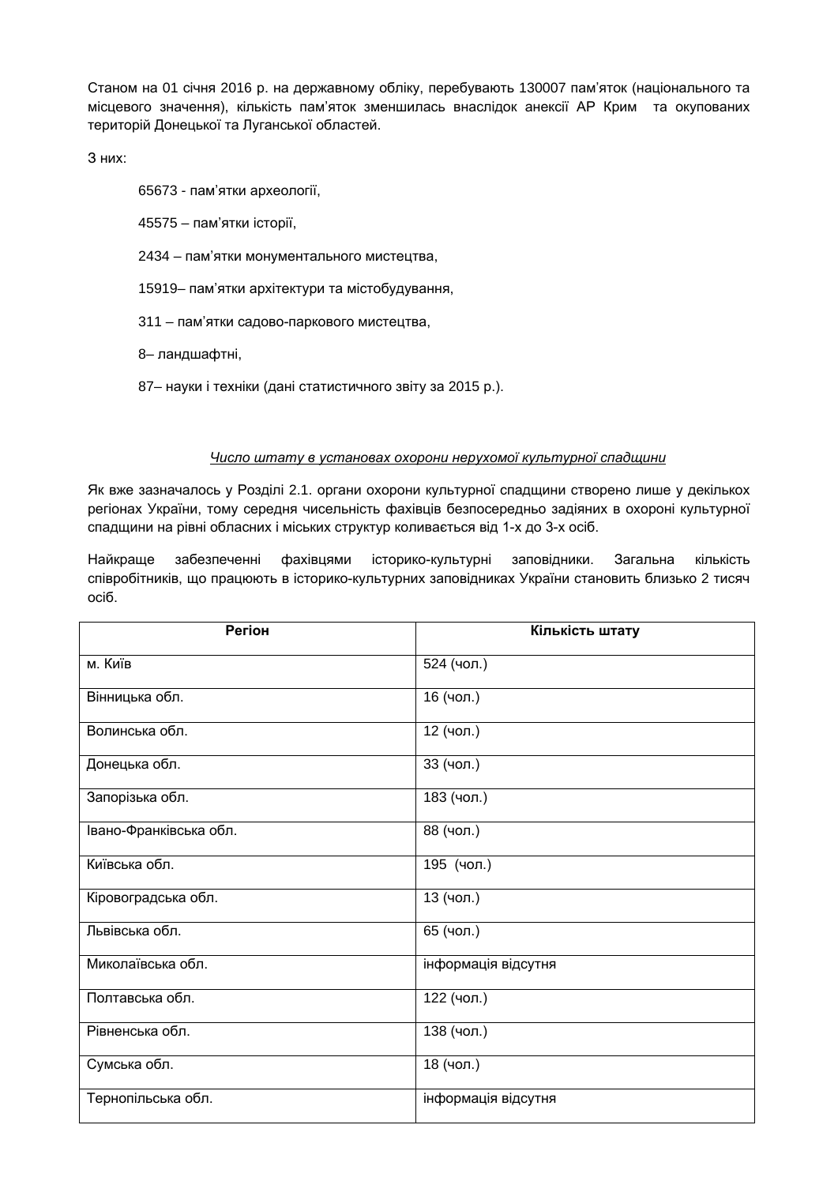Станом на 01 січня 2016 р. на державному обліку, перебувають 130007 пам'яток (національного та місцевого значення), кількість пам'яток зменшилась внаслідок анексії АР Крим та окупованих територій Донецької та Луганської областей.

З них:

65673 - пам'ятки археології,

45575 – пам'ятки історії,

- 2434 пам'ятки монументального мистецтва,
- 15919– пам'ятки архітектури та містобудування,
- 311 пам'ятки садово-паркового мистецтва,
- 8– ландшафтні,
- 87– науки і техніки (дані статистичного звіту за 2015 р.).

#### *Число штату в установах охорони нерухомої культурної спадщини*

Як вже зазначалось у Розділі 2.1. органи охорони культурної спадщини створено лише у декількох регіонах України, тому середня чисельність фахівців безпосередньо задіяних в охороні культурної спадщини на рівні обласних і міських структур коливається від 1-х до 3-х осіб.

Найкраще забезпеченні фахівцями історико-культурні заповідники. Загальна кількість співробітників, що працюють в історико-культурних заповідниках України становить близько 2 тисяч осіб.

| <b>Регіон</b>          | Кількість штату     |
|------------------------|---------------------|
| м. Київ                | 524 (чол.)          |
| Вінницька обл.         | 16 (чол.)           |
| Волинська обл.         | 12 (чол.)           |
| Донецька обл.          | 33 (чол.)           |
| Запорізька обл.        | 183 (чол.)          |
| Івано-Франківська обл. | 88 (чол.)           |
| Київська обл.          | 195 (чол.)          |
| Кіровоградська обл.    | 13 (чол.)           |
| Львівська обл.         | 65 (чол.)           |
| Миколаївська обл.      | інформація відсутня |
| Полтавська обл.        | 122 (чол.)          |
| Рівненська обл.        | 138 (чол.)          |
| Сумська обл.           | 18 (чол.)           |
| Тернопільська обл.     | інформація відсутня |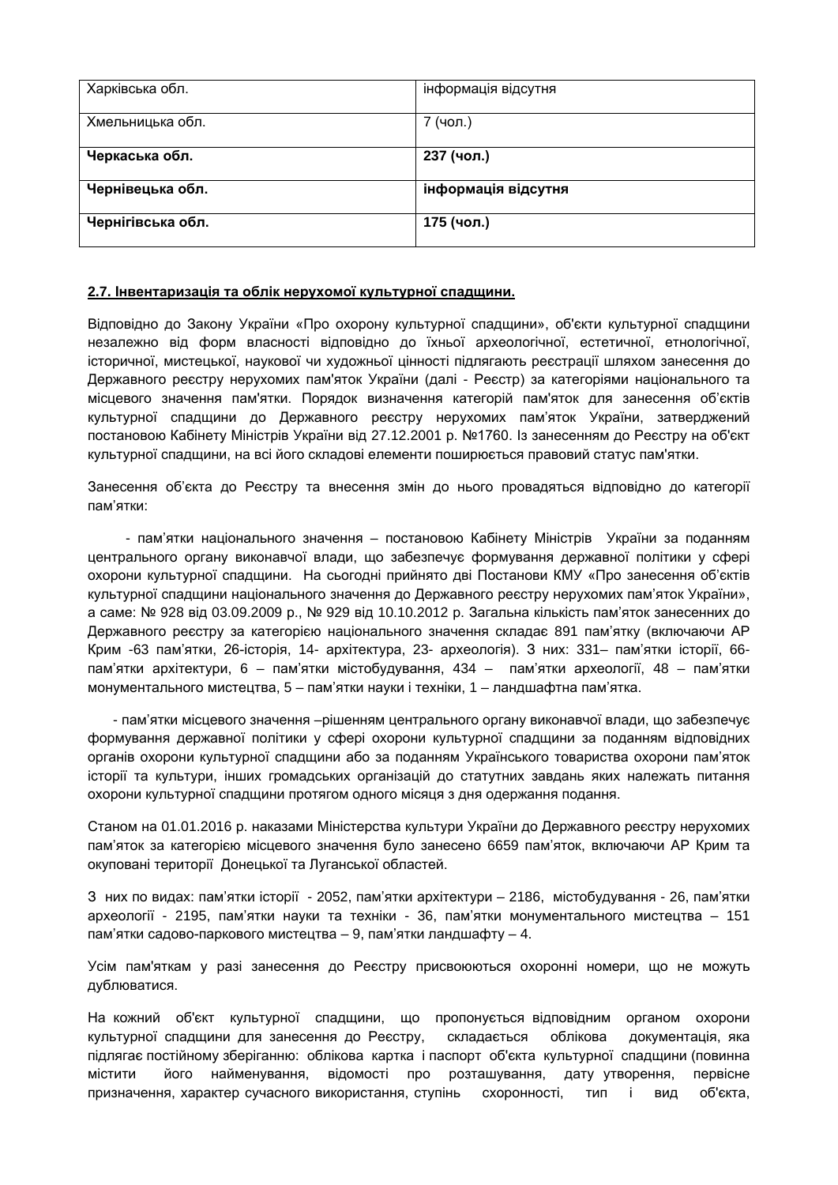| Харківська обл.   | інформація відсутня |
|-------------------|---------------------|
| Хмельницька обл.  | 7 (чол.)            |
| Черкаська обл.    | 237 (чол.)          |
| Чернівецька обл.  | інформація відсутня |
| Чернігівська обл. | 175 (чол.)          |

#### **2.7. Інвентаризація та облік нерухомої культурної спадщини.**

Відповідно до Закону України «Про охорону культурної спадщини», об'єкти культурної спадщини незалежно від форм власності відповідно до їхньої археологічної, естетичної, етнологічної, історичної, мистецької, наукової чи художньої цінності підлягають реєстрації шляхом занесення до Державного реєстру нерухомих пам'яток України (далі - Реєстр) за категоріями національного та місцевого значення пам'ятки. Порядок визначення категорій пам'яток для занесення об'єктів культурної спадщини до Державного реєстру нерухомих пам'яток України, затверджений постановою Кабінету Міністрів України від 27.12.2001 р. №1760. Із занесенням до Реєстру на об'єкт культурної спадщини, на всі його складові елементи поширюється правовий статус пам'ятки.

Занесення об'єкта до Реєстру та внесення змін до нього провадяться відповідно до категорії пам'ятки:

- пам'ятки національного значення – постановою Кабінету Міністрів України за поданням центрального органу виконавчої влади, що забезпечує формування державної політики у сфері охорони культурної спадщини. На сьогодні прийнято дві Постанови КМУ «Про занесення об'єктів культурної спадщини національного значення до Державного реєстру нерухомих пам'яток України», а саме: № 928 від 03.09.2009 р., № 929 від 10.10.2012 р. Загальна кількість пам'яток занесенних до Державного реєстру за категорією національного значення складає 891 пам'ятку (включаючи АР Крим -63 пам'ятки, 26-історія, 14- архітектура, 23- археологія). З них: 331– пам'ятки історії, 66 пам'ятки архітектури, 6 – пам'ятки містобудування, 434 – пам'ятки археології, 48 – пам'ятки монументального мистецтва, 5 – пам'ятки науки і техніки, 1 – ландшафтна пам'ятка.

- пам'ятки місцевого значення –рішенням центрального органу виконавчої влади, що забезпечує формування державної політики у сфері охорони культурної спадщини за поданням відповідних органів охорони культурної спадщини або за поданням Українського товариства охорони пам'яток історії та культури, інших громадських організацій до статутних завдань яких належать питання охорони культурної спадщини протягом одного місяця з дня одержання подання.

Станом на 01.01.2016 р. наказами Міністерства культури України до Державного реєстру нерухомих пам'яток за категорією місцевого значення було занесено 6659 пам'яток, включаючи АР Крим та окуповані території Донецької та Луганської областей.

З них по видах: пам'ятки історії - 2052, пам'ятки архітектури – 2186, містобудування - 26, пам'ятки археології - 2195, пам'ятки науки та техніки - 36, пам'ятки монументального мистецтва – 151 пам'ятки садово-паркового мистецтва – 9, пам'ятки ландшафту – 4.

Усім пам'яткам у разі занесення до Реєстру присвоюються охоронні номери, що не можуть дублюватися.

На кожний об'єкт культурної спадщини, що пропонується відповідним органом охорони культурної спадщини для занесення до Реєстру, складається облікова документація, яка підлягає постійному зберіганню: облікова картка і паспорт об'єкта культурної спадщини (повинна містити його найменування, відомості про розташування, дату утворення, первісне призначення, характер сучасного використання, ступінь схоронності, тип і вид об'єкта,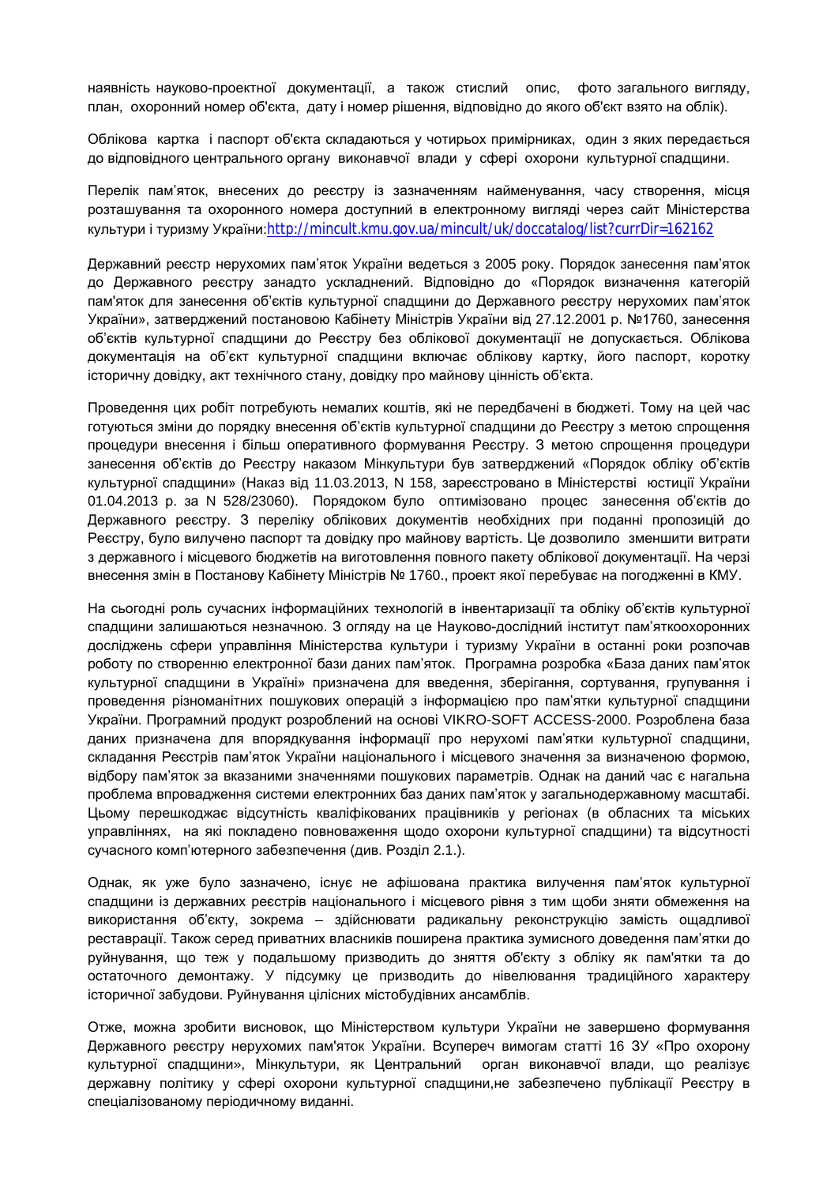наявність науково-проектної документації, а також стислий опис, фото загального вигляду, план, охоронний номер об'єкта, дату і номер рішення, відповідно до якого об'єкт взято на облік).

Облікова картка і паспорт об'єкта складаються у чотирьох примірниках, один з яких передається до відповідного центрального органу виконавчої влади у сфері охорони культурної спадщини.

Перелік пам'яток, внесених до реєстру із зазначенням найменування, часу створення, місця розташування та охоронного номера доступний в електронному вигляді через сайт Міністерства культури і туризму України:<http://mincult.kmu.gov.ua/mincult/uk/doccatalog/list?currDir=162162>

Державний реєстр нерухомих пам'яток України ведеться з 2005 року. Порядок занесення пам'яток до Державного реєстру занадто ускладнений. Відповідно до «Порядок визначення категорій пам'яток для занесення об'єктів культурної спадщини до Державного реєстру нерухомих пам'яток України», затверджений постановою Кабінету Міністрів України від 27.12.2001 р. №1760, занесення об'єктів культурної спадщини до Реєстру без облікової документації не допускається. Облікова документація на об'єкт культурної спадщини включає облікову картку, його паспорт, коротку історичну довідку, акт технічного стану, довідку про майнову цінність об'єкта.

Проведення цих робіт потребують немалих коштів, які не передбачені в бюджеті. Тому на цей час готуються зміни до порядку внесення об'єктів культурної спадщини до Реєстру з метою спрощення процедури внесення і більш оперативного формування Реєстру. З метою спрощення процедури занесення об'єктів до Реєстру наказом Мінкультури був затверджений «Порядок обліку об'єктів культурної спадщини» (Наказ від 11.03.2013, N 158, зареєстровано в Міністерстві юстиції України 01.04.2013 р. за N 528/23060). Порядоком було оптимізовано процес занесення об'єктів до Державного реєстру. З переліку облікових документів необхідних при поданні пропозицій до Реєстру, було вилучено паспорт та довідку про майнову вартість. Це дозволило зменшити витрати з державного і місцевого бюджетів на виготовлення повного пакету облікової документації. На черзі внесення змін в Постанову Кабінету Міністрів № 1760., проект якої перебуває на погодженні в КМУ.

На сьогодні роль сучасних інформаційних технологій в інвентаризації та обліку об'єктів культурної спадщини залишаються незначною. З огляду на це Науково-дослідний інститут пам'яткоохоронних досліджень сфери управління Міністерства культури і туризму України в останні роки розпочав роботу по створенню електронної бази даних пам'яток. Програмна розробка «База даних пам'яток культурної спадщини в Україні» призначена для введення, зберігання, сортування, групування і проведення різноманітних пошукових операцій з інформацією про пам'ятки культурної спадщини України. Програмний продукт розроблений на основі VIKRO-SOFT ACCESS-2000. Розроблена база даних призначена для впорядкування інформації про нерухомі пам'ятки культурної спадщини, складання Реєстрів пам'яток України національного і місцевого значення за визначеною формою, відбору пам'яток за вказаними значеннями пошукових параметрів. Однак на даний час є нагальна проблема впровадження системи електронних баз даних пам'яток у загальнодержавному масштабі. Цьому перешкоджає відсутність кваліфікованих працівників у регіонах (в обласних та міських управліннях, на які покладено повноваження щодо охорони культурної спадщини) та відсутності сучасного комп'ютерного забезпечення (див. Розділ 2.1.).

Однак, як уже було зазначено, існує не афішована практика вилучення пам'яток культурної спадщини із державних реєстрів національного і місцевого рівня з тим щоби зняти обмеження на використання об'єкту, зокрема – здійснювати радикальну реконструкцію замість ощадливої реставрації. Також серед приватних власників поширена практика зумисного доведення пам'ятки до руйнування, що теж у подальшому призводить до зняття об'єкту з обліку як пам'ятки та до остаточного демонтажу. У підсумку це призводить до нівелювання традиційного характеру історичної забудови. Руйнування цілісних містобудівних ансамблів.

Отже, можна зробити висновок, що Міністерством культури України не завершено формування Державного реєстру нерухомих пам'яток України. Всупереч вимогам статті 16 ЗУ «Про [охорону](http://zakon.rada.gov.ua/go/1805-14) [культурної](http://zakon.rada.gov.ua/go/1805-14) спадщини», Мінкультури, як Центральний орган виконавчої влади, що реалізує державну політику у сфері охорони культурної спадщини,не забезпечено публікації Реєстру в спеціалізованому періодичному виданні.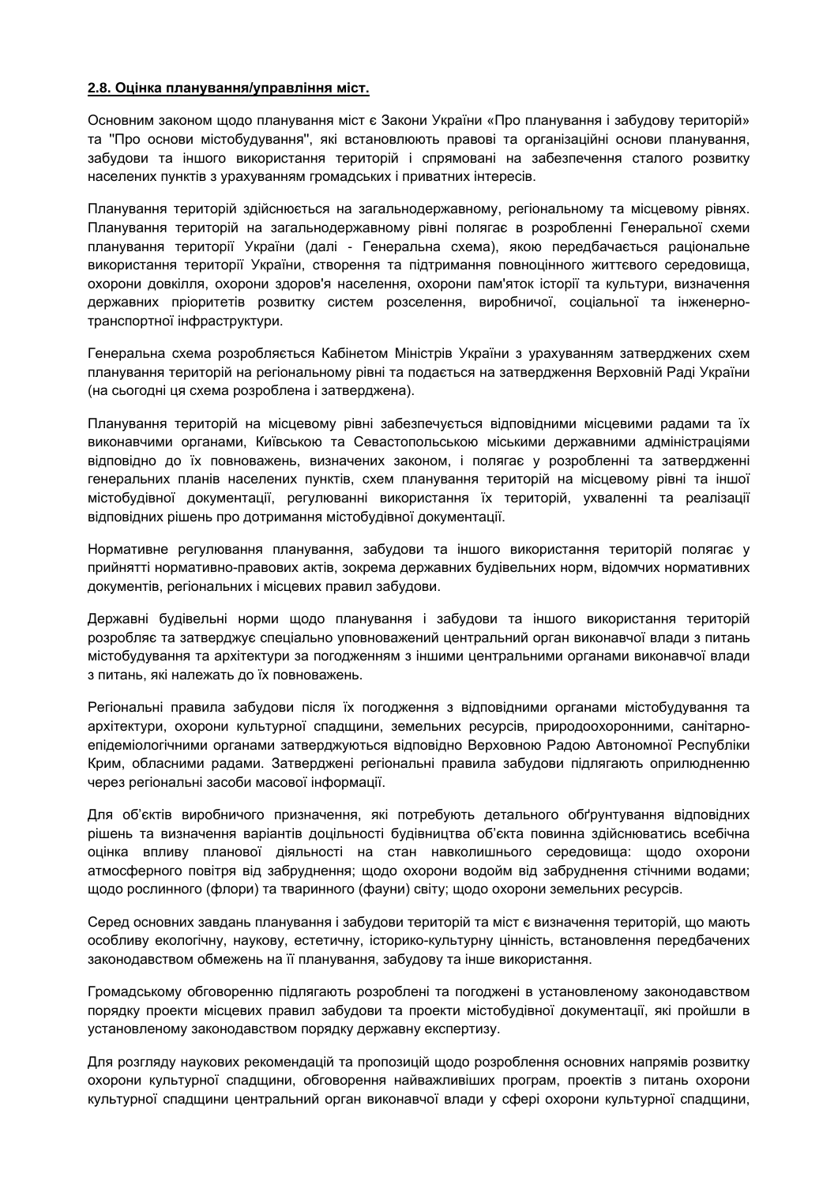#### **2.8. Оцінка планування/управління міст.**

Основним законом щодо планування міст є Закони України «Про планування і забудову територій» та ''Про основи містобудування'', які встановлюють правові та організаційні основи планування, забудови та іншого використання територій і спрямовані на забезпечення сталого розвитку населених пунктів з урахуванням громадських і приватних інтересів.

Планування територій здійснюється на загальнодержавному, регіональному та місцевому рівнях. Планування територій на загальнодержавному рівні полягає в розробленні Генеральної схеми планування території України (далі - Генеральна схема), якою передбачається раціональне використання території України, створення та підтримання повноцінного життєвого середовища, охорони довкілля, охорони здоров'я населення, охорони пам'яток історії та культури, визначення державних пріоритетів розвитку систем розселення, виробничої, соціальної та інженернотранспортної інфраструктури.

Генеральна схема розробляється Кабінетом Міністрів України з урахуванням затверджених схем планування територій на регіональному рівні та подається на затвердження Верховній Раді України (на сьогодні ця схема розроблена і затверджена).

Планування територій на місцевому рівні забезпечується відповідними місцевими радами та їх виконавчими органами, Київською та Севастопольською міськими державними адміністраціями відповідно до їх повноважень, визначених законом, і полягає у розробленні та затвердженні генеральних планів населених пунктів, схем планування територій на місцевому рівні та іншої містобудівної документації, регулюванні використання їх територій, ухваленні та реалізації відповідних рішень про дотримання містобудівної документації.

Нормативне регулювання планування, забудови та іншого використання територій полягає у прийнятті нормативно-правових актів, зокрема державних будівельних норм, відомчих нормативних документів, регіональних і місцевих правил забудови.

Державні будівельні норми щодо планування і забудови та іншого використання територій розробляє та затверджує спеціально уповноважений центральний орган виконавчої влади з питань містобудування та архітектури за погодженням з іншими центральними органами виконавчої влади з питань, які належать до їх повноважень.

Регіональні правила забудови після їх погодження з відповідними органами містобудування та архітектури, охорони культурної спадщини, земельних ресурсів, природоохоронними, санітарноепідеміологічними органами затверджуються відповідно Верховною Радою Автономної Республіки Крим, обласними радами. Затверджені регіональні правила забудови підлягають оприлюдненню через регіональні засоби масової інформації.

Для об'єктів виробничого призначення, які потребують детального обґрунтування відповідних рішень та визначення варіантів доцільності будівництва об'єкта повинна здійснюватись всебічна оцінка впливу планової діяльності на стан навколишнього середовища: щодо охорони атмосферного повітря від забруднення; щодо охорони водойм від забруднення стічними водами; щодо рослинного (флори) та тваринного (фауни) світу; щодо охорони земельних ресурсів.

Серед основних завдань планування і забудови територій та міст є визначення територій, що мають особливу екологічну, наукову, естетичну, історико-культурну цінність, встановлення передбачених законодавством обмежень на її планування, забудову та інше використання.

Громадському обговоренню підлягають розроблені та погоджені в установленому законодавством порядку проекти місцевих правил забудови та проекти містобудівної документації, які пройшли в установленому законодавством порядку державну експертизу.

Для розгляду наукових рекомендацій та пропозицій щодо розроблення основних напрямів розвитку охорони культурної спадщини, обговорення найважливіших програм, проектів з питань охорони культурної спадщини центральний орган виконавчої влади у сфері охорони культурної спадщини,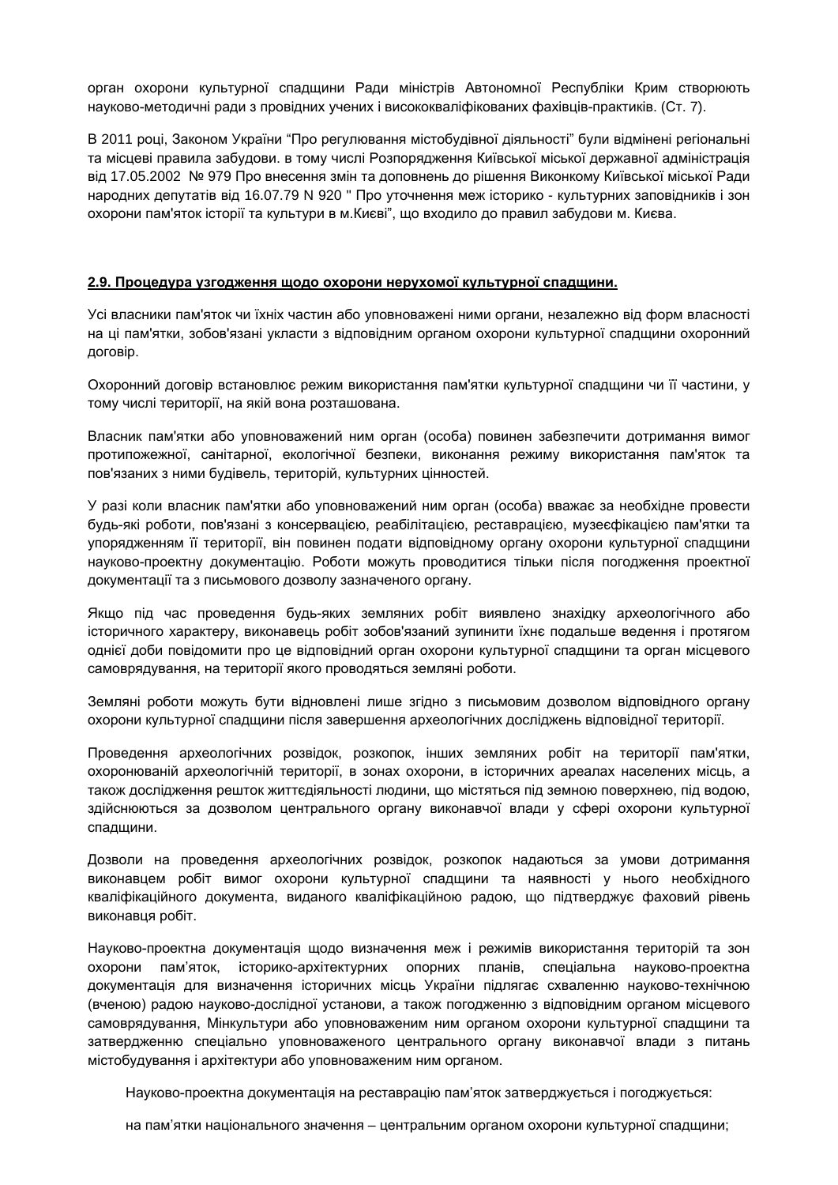орган охорони культурної спадщини Ради міністрів Автономної Республіки Крим створюють науково-методичні ради з провідних учених і висококваліфікованих фахівців-практиків. (Ст. 7).

В 2011 році, Законом України "Про регулювання містобудівної діяльності" були відмінені регіональні та місцеві правила забудови. в тому числі Розпорядження Київської міської державної адміністрація від 17.05.2002 № 979 Про внесення змін та доповнень до рішення Виконкому Київської міської Ради народних депутатів від 16.07.79 N 920 " Про уточнення меж історико - культурних заповідників і зон охорони пам'яток історії та культури в м.Києві", що входило до правил забудови м. Києва.

#### **2.9. Процедура узгодження щодо охорони нерухомої культурної спадщини.**

Усі власники пам'яток чи їхніх частин або уповноважені ними органи, незалежно від форм власності на ці пам'ятки, зобов'язані укласти з відповідним органом охорони культурної спадщини охоронний договір.

Охоронний договір встановлює режим використання пам'ятки культурної спадщини чи її частини, у тому числі території, на якій вона розташована.

Власник пам'ятки або уповноважений ним орган (особа) повинен забезпечити дотримання вимог протипожежної, санітарної, екологічної безпеки, виконання режиму використання пам'яток та пов'язаних з ними будівель, територій, культурних цінностей.

У разі коли власник пам'ятки або уповноважений ним орган (особа) вважає за необхідне провести будь-які роботи, пов'язані з консервацією, реабілітацією, реставрацією, музеєфікацією пам'ятки та упорядженням її території, він повинен подати відповідному органу охорони культурної спадщини науково-проектну документацію. Роботи можуть проводитися тільки після погодження проектної документації та з письмового дозволу зазначеного органу.

Якщо під час проведення будь-яких земляних робіт виявлено знахідку археологічного або історичного характеру, виконавець робіт зобов'язаний зупинити їхнє подальше ведення і протягом однієї доби повідомити про це відповідний орган охорони культурної спадщини та орган місцевого самоврядування, на території якого проводяться земляні роботи.

Земляні роботи можуть бути відновлені лише згідно з письмовим дозволом відповідного органу охорони культурної спадщини після завершення археологічних досліджень відповідної території.

Проведення археологічних розвідок, розкопок, інших земляних робіт на території пам'ятки, охоронюваній археологічній території, в зонах охорони, в історичних ареалах населених місць, а також дослідження решток життєдіяльності людини, що містяться під земною поверхнею, під водою, здійснюються за дозволом центрального органу виконавчої влади у сфері охорони культурної спадщини.

Дозволи на проведення археологічних розвідок, розкопок надаються за умови дотримання виконавцем робіт вимог охорони культурної спадщини та наявності у нього необхідного кваліфікаційного документа, виданого кваліфікаційною радою, що підтверджує фаховий рівень виконавця робіт.

Науково-проектна документація щодо визначення меж і режимів використання територій та зон охорони пам'яток, історико-архітектурних опорних планів, спеціальна науково-проектна документація для визначення історичних місць України підлягає схваленню науково-технічною (вченою) радою науково-дослідної установи, а також погодженню з відповідним органом місцевого самоврядування, Мінкультури або уповноваженим ним органом охорони культурної спадщини та затвердженню спеціально уповноваженого центрального органу виконавчої влади з питань містобудування і архітектури або уповноваженим ним органом.

Науково-проектна документація на реставрацію пам'яток затверджується і погоджується:

на пам'ятки національного значення – центральним органом охорони культурної спадщини;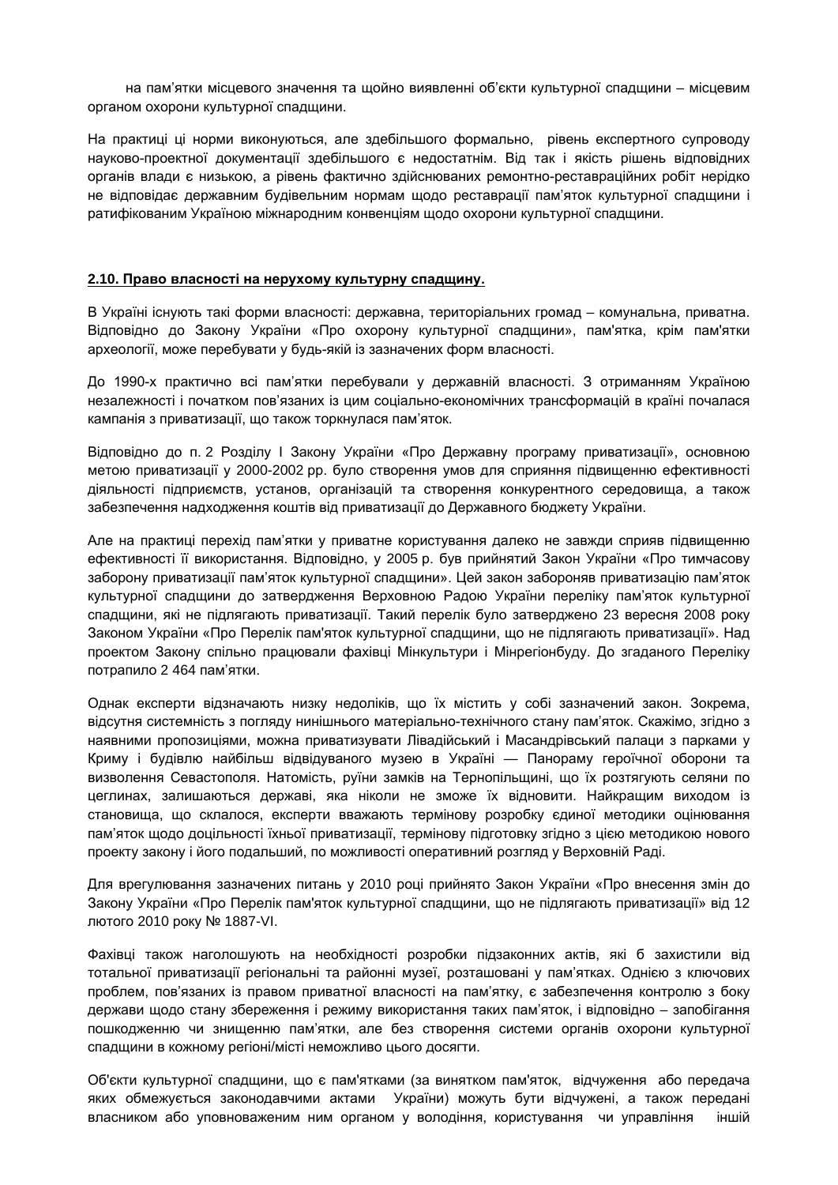на пам'ятки місцевого значення та щойно виявленні об'єкти культурної спадщини – місцевим органом охорони культурної спадщини.

На практиці ці норми виконуються, але здебільшого формально, рівень експертного супроводу науково-проектної документації здебільшого є недостатнім. Від так і якість рішень відповідних органів влади є низькою, а рівень фактично здійснюваних ремонтно-реставраційних робіт нерідко не відповідає державним будівельним нормам щодо реставрації пам'яток культурної спадщини і ратифікованим Україною міжнародним конвенціям щодо охорони культурної спадщини.

#### **2.10. Право власності на нерухому культурну спадщину.**

В Україні існують такі форми власності: державна, територіальних громад – комунальна, приватна. Відповідно до Закону України «Про охорону культурної спадщини», пам'ятка, крім пам'ятки археології, може перебувати у будь-якій із зазначених форм власності.

До 1990-х практично всі пам'ятки перебували у державній власності. З отриманням Україною незалежності і початком пов'язаних із цим соціально-економічних трансформацій в країні почалася кампанія з приватизації, що також торкнулася пам'яток.

Відповідно до п. 2 Розділу І Закону України «Про Державну програму приватизації», основною метою приватизації у 2000-2002 рр. було створення умов для сприяння підвищенню ефективності діяльності підприємств, установ, організацій та створення конкурентного середовища, а також забезпечення надходження коштів від приватизації до Державного бюджету України.

Але на практиці перехід пам'ятки у приватне користування далеко не завжди сприяв підвищенню ефективності її використання. Відповідно, у 2005 р. був прийнятий Закон України «Про тимчасову заборону приватизації пам'яток культурної спадщини». Цей закон забороняв приватизацію пам'яток культурної спадщини до затвердження Верховною Радою України переліку пам'яток культурної спадщини, які не підлягають приватизації. Такий перелік було затверджено 23 вересня 2008 року Законом України «Про Перелік пам'яток культурної спадщини, що не підлягають приватизації». Над проектом Закону спільно працювали фахівці Мінкультури і Мінрегіонбуду. До згаданого Переліку потрапило 2 464 пам'ятки.

Однак експерти відзначають низку недоліків, що їх містить у собі зазначений закон. Зокрема, відсутня системність з погляду нинішнього матеріально-технічного стану пам'яток. Скажімо, згідно з наявними пропозиціями, можна приватизувати Лівадійський і Масандрівський палаци з парками у Криму і будівлю найбільш відвідуваного музею в Україні — Панораму героїчної оборони та визволення Севастополя. Натомість, руїни замків на Тернопільщині, що їх розтягують селяни по цеглинах, залишаються державі, яка ніколи не зможе їх відновити. Найкращим виходом із становища, що склалося, експерти вважають термінову розробку єдиної методики оцінювання пам'яток щодо доцільності їхньої приватизації, термінову підготовку згідно з цією методикою нового проекту закону і його подальший, по можливості оперативний розгляд у Верховній Раді.

Для врегулювання зазначених питань у 2010 році прийнято Закон України «Про внесення змін до Закону України «Про Перелік пам'яток культурної спадщини, що не підлягають приватизації» від 12 лютого 2010 року № 1887-VI.

Фахівці також наголошують на необхідності розробки підзаконних актів, які б захистили від тотальної приватизації регіональні та районні музеї, розташовані у пам'ятках. Однією з ключових проблем, пов'язаних із правом приватної власності на пам'ятку, є забезпечення контролю з боку держави щодо стану збереження і режиму використання таких пам'яток, і відповідно – запобігання пошкодженню чи знищенню пам'ятки, але без створення системи органів охорони культурної спадщини в кожному регіоні/місті неможливо цього досягти.

Об'єкти культурної спадщини, що є пам'ятками (за винятком пам'яток, відчуження або передача яких обмежується законодавчими актами України) можуть бути відчужені, а також передані власником або уповноваженим ним органом у володіння, користування чи управління іншій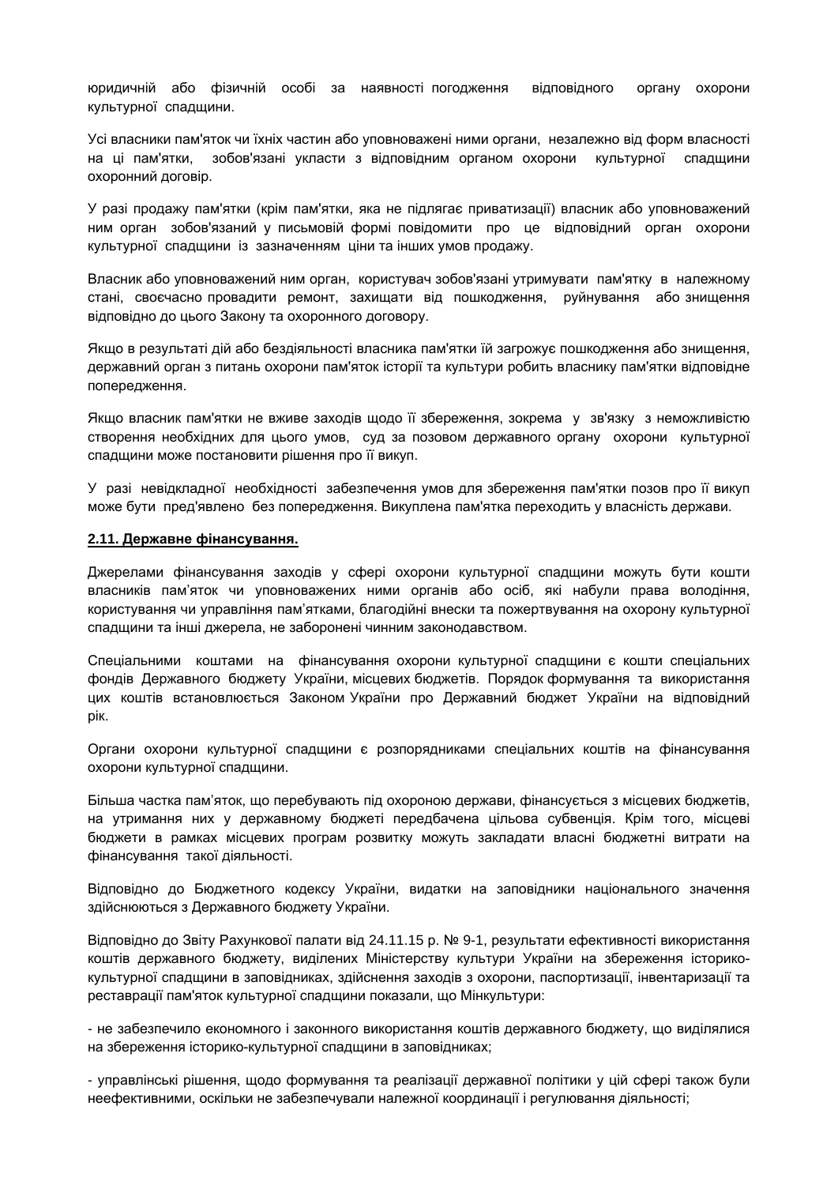юридичній або фізичній особі за наявності погодження відповідного органу охорони культурної спадщини.

Усі власники пам'яток чи їхніх частин або уповноважені ними органи, незалежно від форм власності на ці пам'ятки, зобов'язані укласти з відповідним органом охорони культурної спадщини охоронний договір.

У разі продажу пам'ятки (крім пам'ятки, яка не підлягає приватизації) власник або уповноважений ним орган зобов'язаний у письмовій формі повідомити про це відповідний орган охорони культурної спадщини із зазначенням ціни та інших умов продажу.

Власник або уповноважений ним орган, користувач зобов'язані утримувати пам'ятку в належному стані, своєчасно провадити ремонт, захищати від пошкодження, руйнування або знищення відповідно до цього Закону та охоронного договору.

Якщо в результаті дій або бездіяльності власника пам'ятки їй загрожує пошкодження або знищення, державний орган з питань охорони пам'яток історії та культури робить власнику пам'ятки відповідне попередження.

Якщо власник пам'ятки не вживе заходів щодо її збереження, зокрема у зв'язку з неможливістю створення необхідних для цього умов, суд за позовом державного органу охорони культурної спадщини може постановити рішення про її викуп.

У разі невідкладної необхідності забезпечення умов для збереження пам'ятки позов про її викуп може бути пред'явлено без попередження. Викуплена пам'ятка переходить у власність держави.

#### **2.11. Державне фінансування.**

Джерелами фінансування заходів у сфері охорони культурної спадщини можуть бути кошти власників пам'яток чи уповноважених ними органів або осіб, які набули права володіння, користування чи управління пам'ятками, благодійні внески та пожертвування на охорону культурної спадщини та інші джерела, не заборонені чинним законодавством.

Спеціальними коштами на фінансування охорони культурної спадщини є кошти спеціальних фондів Державного бюджету України, місцевих бюджетів. Порядок формування та використання цих коштів встановлюється Законом України про Державний бюджет України на відповідний рік.

Органи охорони культурної спадщини є розпорядниками спеціальних коштів на фінансування охорони культурної спадщини.

Більша частка пам'яток, що перебувають під охороною держави, фінансується з місцевих бюджетів, на утримання них у державному бюджеті передбачена цільова субвенція. Крім того, місцеві бюджети в рамках місцевих програм розвитку можуть закладати власні бюджетні витрати на фінансування такої діяльності.

Відповідно до Бюджетного кодексу України, видатки на заповідники національного значення здійснюються з Державного бюджету України.

Відповідно до Звіту Рахункової палати від 24.11.15 р. № 9-1, результати ефективності використання коштів державного бюджету, виділених Міністерству культури України на збереження історикокультурної спадщини в заповідниках, здійснення заходів з охорони, паспортизації, інвентаризації та реставрації пам'яток культурної спадщини показали, що Мінкультури:

- не забезпечило економного і законного використання коштів державного бюджету, що виділялися на збереження історико-культурної спадщини в заповідниках;

- управлінські рішення, щодо формування та реалізації державної політики у цій сфері також були неефективними, оскільки не забезпечували належної координації і регулювання діяльності;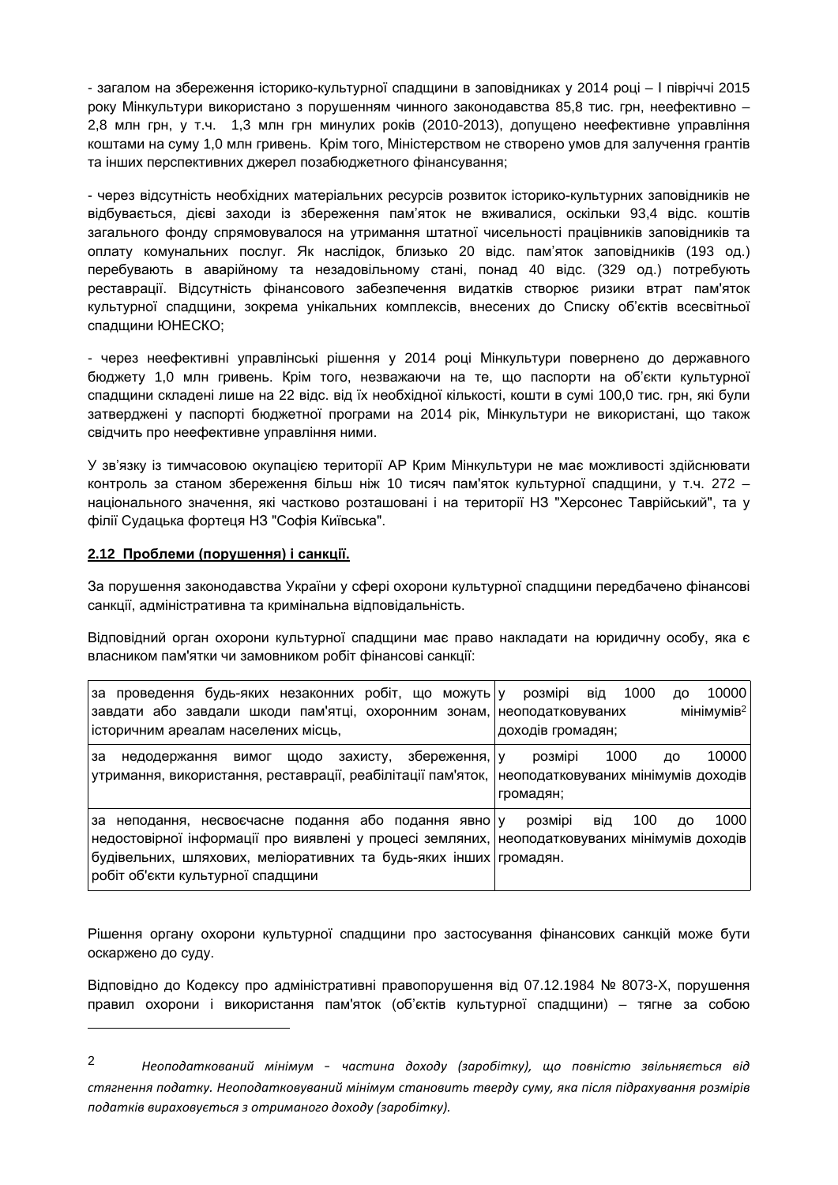- загалом на збереження історико-культурної спадщини в заповідниках у 2014 році – І півріччі 2015 року Мінкультури використано з порушенням чинного законодавства 85,8 тис. грн, неефективно – 2,8 млн грн, у т.ч. 1,3 млн грн минулих років (2010-2013), допущено неефективне управління коштами на суму 1,0 млн гривень. Крім того, Міністерством не створено умов для залучення грантів та інших перспективних джерел позабюджетного фінансування;

- через відсутність необхідних матеріальних ресурсів розвиток історико-культурних заповідників не відбувається, дієві заходи із збереження пам'яток не вживалися, оскільки 93,4 відс. коштів загального фонду спрямовувалося на утримання штатної чисельності працівників заповідників та оплату комунальних послуг. Як наслідок, близько 20 відс. пам'яток заповідників (193 од.) перебувають в аварійному та незадовільному стані, понад 40 відс. (329 од.) потребують реставрації. Відсутність фінансового забезпечення видатків створює ризики втрат пам'яток культурної спадщини, зокрема унікальних комплексів, внесених до Списку об'єктів всесвітньої спадщини ЮНЕСКО;

- через неефективні управлінські рішення у 2014 році Мінкультури повернено до державного бюджету 1,0 млн гривень. Крім того, незважаючи на те, що паспорти на об'єкти культурної спадщини складені лише на 22 відс. від їх необхідної кількості, кошти в сумі 100,0 тис. грн, які були затверджені у паспорті бюджетної програми на 2014 рік, Мінкультури не використані, що також свідчить про неефективне управління ними.

У зв'язку із тимчасовою окупацією території АР Крим Мінкультури не має можливості здійснювати контроль за станом збереження більш ніж 10 тисяч пам'яток культурної спадщини, у т.ч. 272 – національного значення, які частково розташовані і на території НЗ "Херсонес Таврійський", та у філії Судацька фортеця НЗ "Софія Київська".

# **2.12 Проблеми (порушення) і санкції.**

За порушення законодавства України у сфері охорони культурної спадщини передбачено фінансові санкції, адміністративна та кримінальна відповідальність.

Відповідний орган охорони культурної спадщини має право накладати на юридичну особу, яка є власником пам'ятки чи замовником робіт фінансові санкції:

| за проведення будь-яких незаконних робіт, що можуть у розмірі<br> завдати або завдали шкоди пам'ятці, охоронним зонам, неоподатковуваних                                                                                                                           | 10000<br>1000<br>від<br>ДΟ<br>мінімумів <sup>2</sup>                               |
|--------------------------------------------------------------------------------------------------------------------------------------------------------------------------------------------------------------------------------------------------------------------|------------------------------------------------------------------------------------|
| історичним ареалам населених місць,                                                                                                                                                                                                                                | доходів громадян;                                                                  |
| збереження,   у<br>захисту,<br>за<br>щодо<br>вимог<br>недодержання<br>  утримання, використання, реставрації, реабілітації пам'яток,                                                                                                                               | 10000<br>1000<br>розмірі<br>ДΟ<br>неоподатковуваних мінімумів доходів<br>громадян; |
| за неподання, несвоєчасне подання або подання явно у<br> недостовірної інформації про виявлені у процесі земляних,  неоподатковуваних мінімумів доходів<br> будівельних, шляхових, меліоративних та будь-яких інших громадян.<br>робіт об'єкти культурної спадщини | 1000<br>100<br>розмірі<br>від<br>лο                                                |

Рішення органу охорони культурної спадщини про застосування фінансових санкцій може бути оскаржено до суду.

Відповідно до Кодексу про адміністративні правопорушення від 07.12.1984 № 8073-X, порушення правил охорони і використання пам'яток (об'єктів культурної спадщини) – тягне за собою

<sup>2</sup> *Неоподаткований мінімум – частина доходу (заробітку), що повністю звільняється від стягнення податку. Неоподатковуваний мінімум становить тверду суму, яка після підрахування розмірів податків вираховується з отриманого доходу (заробітку).*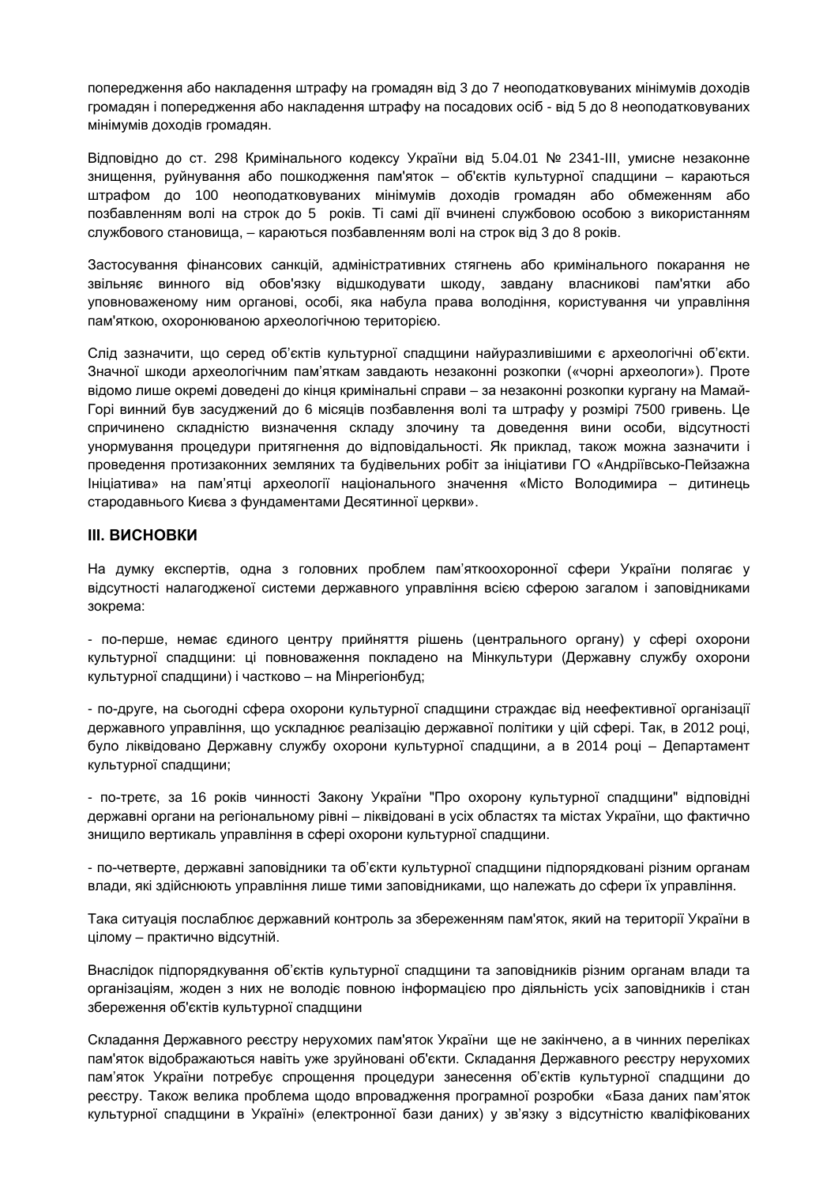попередження або накладення штрафу на громадян від 3 до 7 неоподатковуваних мінімумів доходів громадян і попередження або накладення штрафу на посадових осіб - від 5 до 8 неоподатковуваних мінімумів доходів громадян.

Відповідно до ст. 298 Кримінального кодексу України від 5.04.01 № 2341-III, умисне незаконне знищення, руйнування або пошкодження пам'яток – об'єктів культурної спадщини – караються штрафом до 100 неоподатковуваних мінімумів доходів громадян або обмеженням або позбавленням волі на строк до 5 років. Ті самі дії вчинені службовою особою з використанням службового становища, – караються позбавленням волі на строк від 3 до 8 років.

Застосування фінансових санкцій, адміністративних стягнень або кримінального покарання не звільняє винного від обов'язку відшкодувати шкоду, завдану власникові пам'ятки або уповноваженому ним органові, особі, яка набула права володіння, користування чи управління пам'яткою, охоронюваною археологічною територією.

Слід зазначити, що серед об'єктів культурної спадщини найуразливішими є археологічні об'єкти. Значної шкоди археологічним пам'яткам завдають незаконні розкопки («чорні археологи»). Проте відомо лише окремі доведені до кінця кримінальні справи – за незаконні розкопки кургану на Мамай-Горі винний був засуджений до 6 місяців позбавлення волі та штрафу у розмірі 7500 гривень. Це спричинено складністю визначення складу злочину та доведення вини особи, відсутності унормування процедури притягнення до відповідальності. Як приклад, також можна зазначити і проведення протизаконних земляних та будівельних робіт за ініціативи ГО «Андріївсько-Пейзажна Ініціатива» на пам'ятці археології національного значення «Місто Володимира – дитинець стародавнього Києва з фундаментами Десятинної церкви».

# **ІІІ. ВИСНОВКИ**

На думку експертів, одна з головних проблем пам'яткоохоронної сфери України полягає у відсутності налагодженої системи державного управління всією сферою загалом і заповідниками зокрема:

- по-перше, немає єдиного центру прийняття рішень (центрального органу) у сфері охорони культурної спадщини: ці повноваження покладено на Мінкультури (Державну службу охорони культурної спадщини) і частково – на Мінрегіонбуд;

- по-друге, на сьогодні сфера охорони культурної спадщини страждає від неефективної організації державного управління, що ускладнює реалізацію державної політики у цій сфері. Так, в 2012 році, було ліквідовано Державну службу охорони культурної спадщини, а в 2014 році – Департамент культурної спадщини;

- по-третє, за 16 років чинності Закону України "Про охорону культурної спадщини" відповідні державні органи на регіональному рівні – ліквідовані в усіх областях та містах України, що фактично знищило вертикаль управління в сфері охорони культурної спадщини.

- по-четверте, державні заповідники та об'єкти культурної спадщини підпорядковані різним органам влади, які здійснюють управління лише тими заповідниками, що належать до сфери їх управління.

Така ситуація послаблює державний контроль за збереженням пам'яток, який на території України в цілому – практично відсутній.

Внаслідок підпорядкування об'єктів культурної спадщини та заповідників різним органам влади та організаціям, жоден з них не володіє повною інформацією про діяльність усіх заповідників і стан збереження об'єктів культурної спадщини

Складання Державного реєстру нерухомих пам'яток України ще не закінчено, а в чинних переліках пам'яток відображаються навіть уже зруйновані об'єкти. Складання Державного реєстру нерухомих пам'яток України потребує спрощення процедури занесення об'єктів культурної спадщини до реєстру. Також велика проблема щодо впровадження програмної розробки «База даних пам'яток культурної спадщини в Україні» (електронної бази даних) у зв'язку з відсутністю кваліфікованих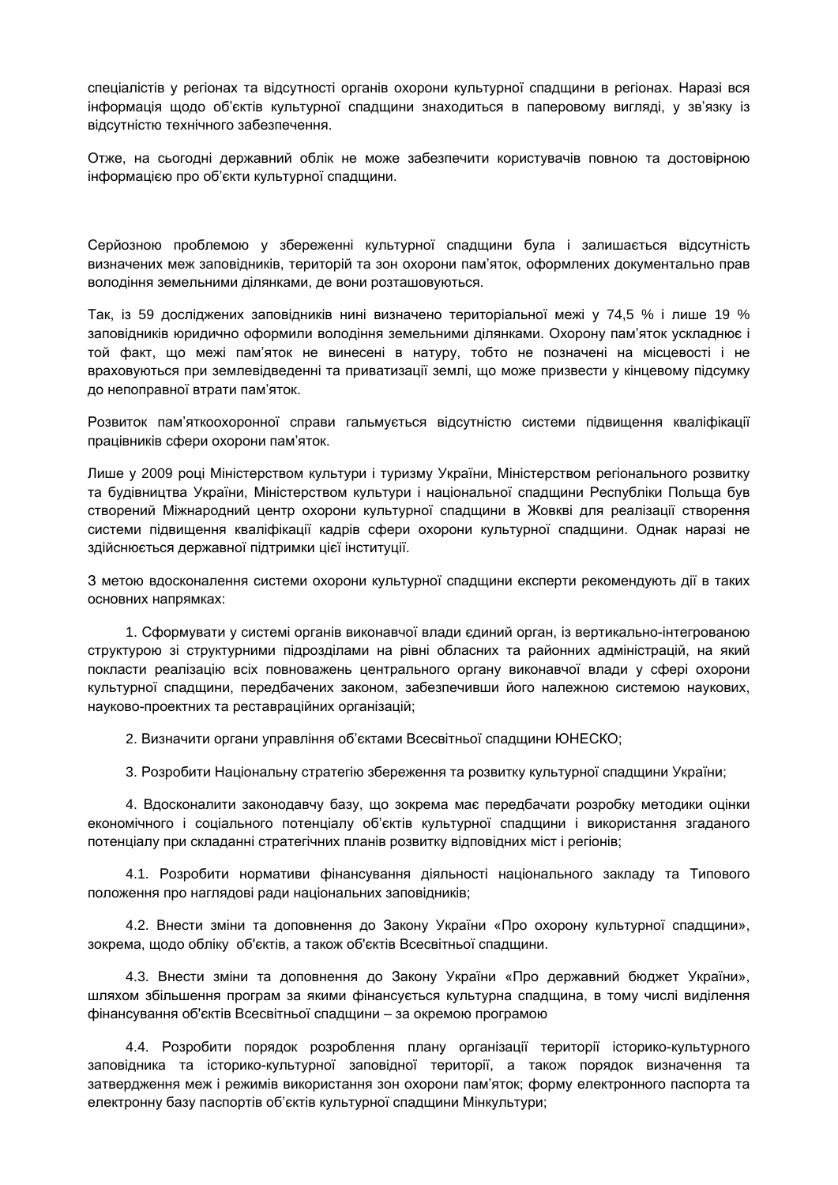спеціалістів у регіонах та відсутності органів охорони культурної спадщини в регіонах. Наразі вся інформація щодо об'єктів культурної спадщини знаходиться в паперовому вигляді, у зв'язку із відсутністю технічного забезпечення.

Отже, на сьогодні державний облік не може забезпечити користувачів повною та достовірною інформацією про об'єкти культурної спадщини.

Серйозною проблемою у збереженні культурної спадщини була і залишається відсутність визначених меж заповідників, територій та зон охорони пам'яток, оформлених документально прав володіння земельними ділянками, де вони розташовуються.

Так, із 59 досліджених заповідників нині визначено територіальної межі у 74,5 % і лише 19 % заповідників юридично оформили володіння земельними ділянками. Охорону пам'яток ускладнює і той факт, що межі пам'яток не винесені в натуру, тобто не позначені на місцевості і не враховуються при землевідведенні та приватизації землі, що може призвести у кінцевому підсумку до непоправної втрати пам'яток.

Розвиток пам'яткоохоронної справи гальмується відсутністю системи підвищення кваліфікації працівників сфери охорони пам'яток.

Лише у 2009 році Міністерством культури і туризму України, Міністерством регіонального розвитку та будівництва України, Міністерством культури і національної спадщини Республіки Польща був створений Міжнародний центр охорони культурної спадщини в Жовкві для реалізації створення системи підвищення кваліфікації кадрів сфери охорони культурної спадщини. Однак наразі не здійснюється державної підтримки цієї інституції.

З метою вдосконалення системи охорони культурної спадщини експерти рекомендують дії в таких основних напрямках:

1. Сформувати у системі органів виконавчої влади єдиний орган, із вертикально-інтегрованою структурою зі структурними підрозділами на рівні обласних та районних адміністрацій, на який покласти реалізацію всіх повноважень центрального органу виконавчої влади у сфері охорони культурної спадщини, передбачених законом, забезпечивши його належною системою наукових, науково-проектних та реставраційних організацій;

2. Визначити органи управління об'єктами Всесвітньої спадщини ЮНЕСКО;

3. Розробити Національну стратегію збереження та розвитку культурної спадщини України;

4. Вдосконалити законодавчу базу, що зокрема має передбачати розробку методики оцінки економічного і соціального потенціалу об'єктів культурної спадщини і використання згаданого потенціалу при складанні стратегічних планів розвитку відповідних міст і регіонів;

4.1. Розробити нормативи фінансування діяльності національного закладу та Типового положення про наглядові ради національних заповідників;

4.2. Внести зміни та доповнення до Закону України «Про охорону культурної спадщини», зокрема, щодо обліку об'єктів, а також об'єктів Всесвітньої спадщини.

4.3. Внести зміни та доповнення до Закону України «Про державний бюджет України», шляхом збільшення програм за якими фінансується культурна спадщина, в тому числі виділення фінансування об'єктів Всесвітньої спадщини – за окремою програмою

4.4. Розробити порядок розроблення плану організації території історико-культурного заповідника та історико-культурної заповідної території, а також порядок визначення та затвердження меж і режимів використання зон охорони пам'яток; форму електронного паспорта та електронну базу паспортів об'єктів культурної спадщини Мінкультури;